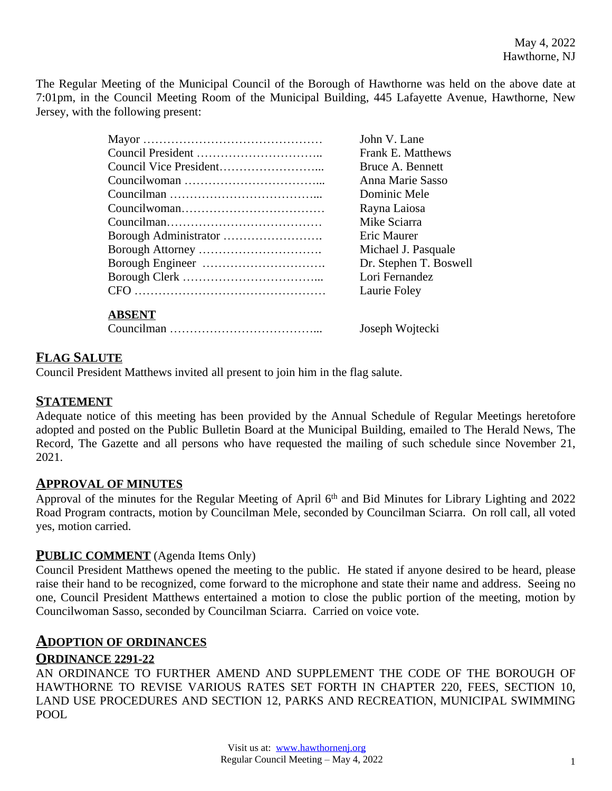The Regular Meeting of the Municipal Council of the Borough of Hawthorne was held on the above date at 7:01pm, in the Council Meeting Room of the Municipal Building, 445 Lafayette Avenue, Hawthorne, New Jersey, with the following present:

| John V. Lane             |
|--------------------------|
| <b>Frank E. Matthews</b> |
| Bruce A. Bennett         |
| Anna Marie Sasso         |
| Dominic Mele             |
| Rayna Laiosa             |
| Mike Sciarra             |
| Eric Maurer              |
| Michael J. Pasquale      |
| Dr. Stephen T. Boswell   |
| Lori Fernandez           |
| Laurie Foley             |
|                          |
|                          |

Councilman ………………………………... Joseph Wojtecki

## **FLAG SALUTE**

Council President Matthews invited all present to join him in the flag salute.

### **STATEMENT**

Adequate notice of this meeting has been provided by the Annual Schedule of Regular Meetings heretofore adopted and posted on the Public Bulletin Board at the Municipal Building, emailed to The Herald News, The Record, The Gazette and all persons who have requested the mailing of such schedule since November 21, 2021.

### **APPROVAL OF MINUTES**

Approval of the minutes for the Regular Meeting of April 6<sup>th</sup> and Bid Minutes for Library Lighting and 2022 Road Program contracts, motion by Councilman Mele, seconded by Councilman Sciarra. On roll call, all voted yes, motion carried.

### **PUBLIC COMMENT** (Agenda Items Only)

Council President Matthews opened the meeting to the public. He stated if anyone desired to be heard, please raise their hand to be recognized, come forward to the microphone and state their name and address. Seeing no one, Council President Matthews entertained a motion to close the public portion of the meeting, motion by Councilwoman Sasso, seconded by Councilman Sciarra. Carried on voice vote.

## **ADOPTION OF ORDINANCES**

### **ORDINANCE 2291-22**

AN ORDINANCE TO FURTHER AMEND AND SUPPLEMENT THE CODE OF THE BOROUGH OF HAWTHORNE TO REVISE VARIOUS RATES SET FORTH IN CHAPTER 220, FEES, SECTION 10, LAND USE PROCEDURES AND SECTION 12, PARKS AND RECREATION, MUNICIPAL SWIMMING POOL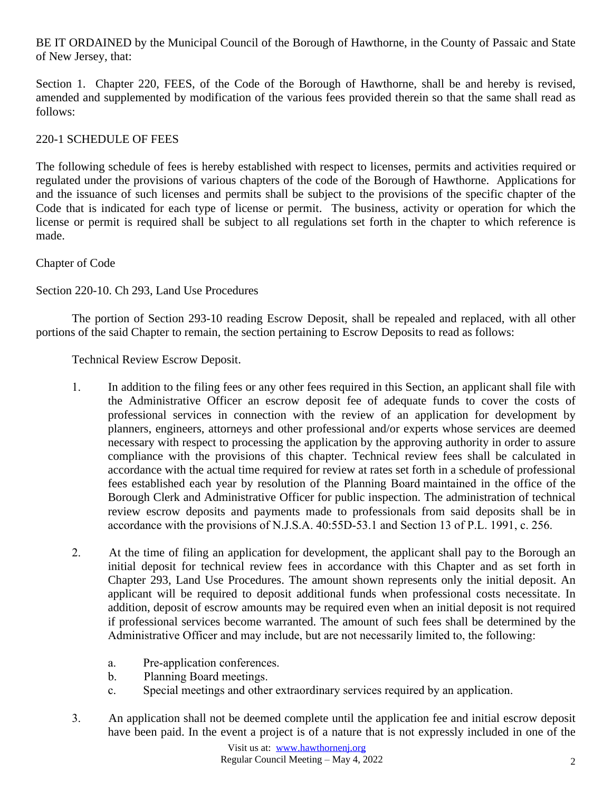## BE IT ORDAINED by the Municipal Council of the Borough of Hawthorne, in the County of Passaic and State of New Jersey, that:

Section 1. Chapter 220, FEES, of the Code of the Borough of Hawthorne, shall be and hereby is revised, amended and supplemented by modification of the various fees provided therein so that the same shall read as follows:

## 220-1 SCHEDULE OF FEES

The following schedule of fees is hereby established with respect to licenses, permits and activities required or regulated under the provisions of various chapters of the code of the Borough of Hawthorne. Applications for and the issuance of such licenses and permits shall be subject to the provisions of the specific chapter of the Code that is indicated for each type of license or permit. The business, activity or operation for which the license or permit is required shall be subject to all regulations set forth in the chapter to which reference is made.

Chapter of Code

Section 220-10. Ch 293, Land Use Procedures

The portion of Section 293-10 reading Escrow Deposit, shall be repealed and replaced, with all other portions of the said Chapter to remain, the section pertaining to Escrow Deposits to read as follows:

Technical Review Escrow Deposit.

- 1. In addition to the filing fees or any other fees required in this Section, an applicant shall file with the Administrative Officer an escrow deposit fee of adequate funds to cover the costs of professional services in connection with the review of an application for development by planners, engineers, attorneys and other professional and/or experts whose services are deemed necessary with respect to processing the application by the approving authority in order to assure compliance with the provisions of this chapter. Technical review fees shall be calculated in accordance with the actual time required for review at rates set forth in a schedule of professional fees established each year by resolution of the Planning Board maintained in the office of the Borough Clerk and Administrative Officer for public inspection. The administration of technical review escrow deposits and payments made to professionals from said deposits shall be in accordance with the provisions of N.J.S.A. 40:55D-53.1 and Section 13 of P.L. 1991, c. 256.
- 2. At the time of filing an application for development, the applicant shall pay to the Borough an initial deposit for technical review fees in accordance with this Chapter and as set forth in Chapter 293, Land Use Procedures. The amount shown represents only the initial deposit. An applicant will be required to deposit additional funds when professional costs necessitate. In addition, deposit of escrow amounts may be required even when an initial deposit is not required if professional services become warranted. The amount of such fees shall be determined by the Administrative Officer and may include, but are not necessarily limited to, the following:
	- a. Pre-application conferences.
	- b. Planning Board meetings.
	- c. Special meetings and other extraordinary services required by an application.
- 3. An application shall not be deemed complete until the application fee and initial escrow deposit have been paid. In the event a project is of a nature that is not expressly included in one of the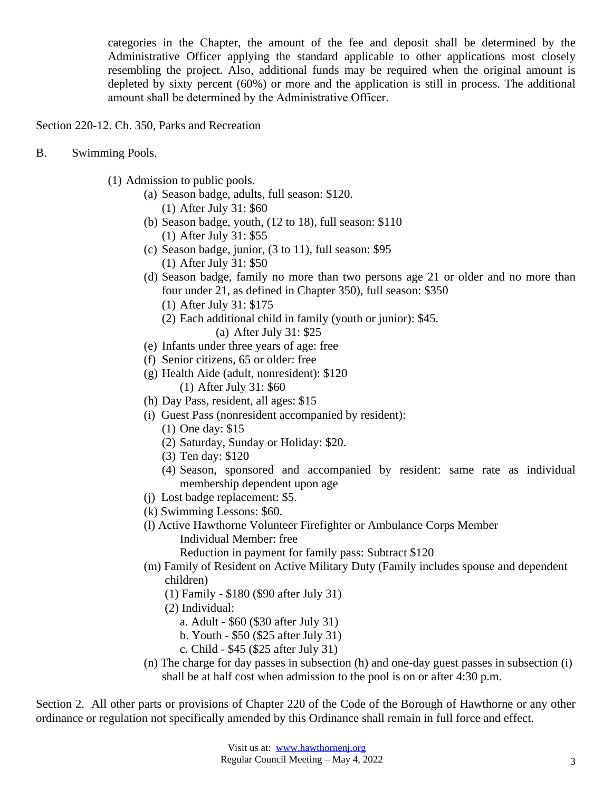categories in the Chapter, the amount of the fee and deposit shall be determined by the Administrative Officer applying the standard applicable to other applications most closely resembling the project. Also, additional funds may be required when the original amount is depleted by sixty percent (60%) or more and the application is still in process. The additional amount shall be determined by the Administrative Officer.

Section 220-12. Ch. 350, Parks and Recreation

- B. Swimming Pools.
	- (1) Admission to public pools.
		- (a) Season badge, adults, full season: \$120. (1) After July 31: \$60
		- (b) Season badge, youth, (12 to 18), full season: \$110 (1) After July 31: \$55
		- (c) Season badge, junior, (3 to 11), full season: \$95 (1) After July 31: \$50
		- (d) Season badge, family no more than two persons age 21 or older and no more than four under 21, as defined in Chapter 350), full season: \$350
			- (1) After July 31: \$175
			- (2) Each additional child in family (youth or junior): \$45.
				- (a) After July 31: \$25
		- (e) Infants under three years of age: free
		- (f) Senior citizens, 65 or older: free
		- (g) Health Aide (adult, nonresident): \$120 (1) After July 31: \$60
		- (h) Day Pass, resident, all ages: \$15
		- (i) Guest Pass (nonresident accompanied by resident):
			- (1) One day: \$15
			- (2) Saturday, Sunday or Holiday: \$20.
			- (3) Ten day: \$120
			- (4) Season, sponsored and accompanied by resident: same rate as individual membership dependent upon age
		- (j) Lost badge replacement: \$5.
		- (k) Swimming Lessons: \$60.
		- (l) Active Hawthorne Volunteer Firefighter or Ambulance Corps Member Individual Member: free

Reduction in payment for family pass: Subtract \$120

- (m) Family of Resident on Active Military Duty (Family includes spouse and dependent children)
	- (1) Family \$180 (\$90 after July 31)
	- (2) Individual:
		- a. Adult \$60 (\$30 after July 31)
		- b. Youth \$50 (\$25 after July 31)
		- c. Child \$45 (\$25 after July 31)
- (n) The charge for day passes in subsection (h) and one-day guest passes in subsection (i) shall be at half cost when admission to the pool is on or after 4:30 p.m.

Section 2. All other parts or provisions of Chapter 220 of the Code of the Borough of Hawthorne or any other ordinance or regulation not specifically amended by this Ordinance shall remain in full force and effect.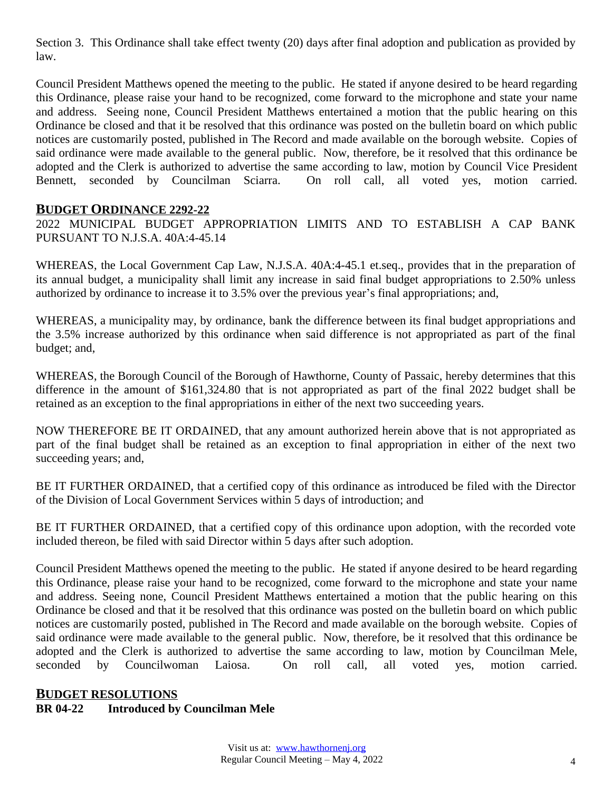Section 3. This Ordinance shall take effect twenty (20) days after final adoption and publication as provided by law.

Council President Matthews opened the meeting to the public. He stated if anyone desired to be heard regarding this Ordinance, please raise your hand to be recognized, come forward to the microphone and state your name and address. Seeing none, Council President Matthews entertained a motion that the public hearing on this Ordinance be closed and that it be resolved that this ordinance was posted on the bulletin board on which public notices are customarily posted, published in The Record and made available on the borough website. Copies of said ordinance were made available to the general public. Now, therefore, be it resolved that this ordinance be adopted and the Clerk is authorized to advertise the same according to law, motion by Council Vice President Bennett, seconded by Councilman Sciarra. On roll call, all voted yes, motion carried.

## **BUDGET ORDINANCE 2292-22**

2022 MUNICIPAL BUDGET APPROPRIATION LIMITS AND TO ESTABLISH A CAP BANK PURSUANT TO N.J.S.A. 40A:4-45.14

WHEREAS, the Local Government Cap Law, N.J.S.A. 40A:4-45.1 et.seq., provides that in the preparation of its annual budget, a municipality shall limit any increase in said final budget appropriations to 2.50% unless authorized by ordinance to increase it to 3.5% over the previous year's final appropriations; and,

WHEREAS, a municipality may, by ordinance, bank the difference between its final budget appropriations and the 3.5% increase authorized by this ordinance when said difference is not appropriated as part of the final budget; and,

WHEREAS, the Borough Council of the Borough of Hawthorne, County of Passaic, hereby determines that this difference in the amount of \$161,324.80 that is not appropriated as part of the final 2022 budget shall be retained as an exception to the final appropriations in either of the next two succeeding years.

NOW THEREFORE BE IT ORDAINED, that any amount authorized herein above that is not appropriated as part of the final budget shall be retained as an exception to final appropriation in either of the next two succeeding years; and,

BE IT FURTHER ORDAINED, that a certified copy of this ordinance as introduced be filed with the Director of the Division of Local Government Services within 5 days of introduction; and

BE IT FURTHER ORDAINED, that a certified copy of this ordinance upon adoption, with the recorded vote included thereon, be filed with said Director within 5 days after such adoption.

Council President Matthews opened the meeting to the public. He stated if anyone desired to be heard regarding this Ordinance, please raise your hand to be recognized, come forward to the microphone and state your name and address. Seeing none, Council President Matthews entertained a motion that the public hearing on this Ordinance be closed and that it be resolved that this ordinance was posted on the bulletin board on which public notices are customarily posted, published in The Record and made available on the borough website. Copies of said ordinance were made available to the general public. Now, therefore, be it resolved that this ordinance be adopted and the Clerk is authorized to advertise the same according to law, motion by Councilman Mele, seconded by Councilwoman Laiosa. On roll call, all voted yes, motion carried.

# **BUDGET RESOLUTIONS BR 04-22 Introduced by Councilman Mele**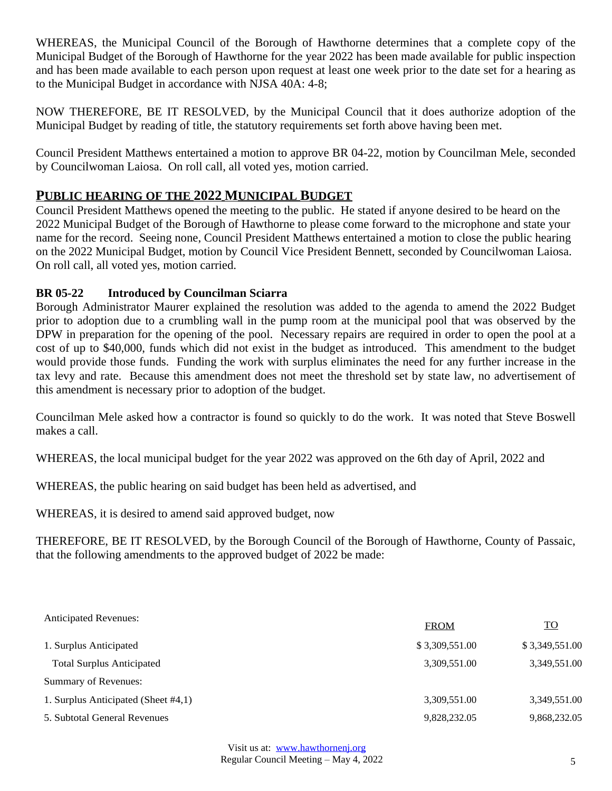WHEREAS, the Municipal Council of the Borough of Hawthorne determines that a complete copy of the Municipal Budget of the Borough of Hawthorne for the year 2022 has been made available for public inspection and has been made available to each person upon request at least one week prior to the date set for a hearing as to the Municipal Budget in accordance with NJSA 40A: 4-8;

NOW THEREFORE, BE IT RESOLVED, by the Municipal Council that it does authorize adoption of the Municipal Budget by reading of title, the statutory requirements set forth above having been met.

Council President Matthews entertained a motion to approve BR 04-22, motion by Councilman Mele, seconded by Councilwoman Laiosa. On roll call, all voted yes, motion carried.

# **PUBLIC HEARING OF THE 2022 MUNICIPAL BUDGET**

Council President Matthews opened the meeting to the public. He stated if anyone desired to be heard on the 2022 Municipal Budget of the Borough of Hawthorne to please come forward to the microphone and state your name for the record. Seeing none, Council President Matthews entertained a motion to close the public hearing on the 2022 Municipal Budget, motion by Council Vice President Bennett, seconded by Councilwoman Laiosa. On roll call, all voted yes, motion carried.

### **BR 05-22 Introduced by Councilman Sciarra**

Borough Administrator Maurer explained the resolution was added to the agenda to amend the 2022 Budget prior to adoption due to a crumbling wall in the pump room at the municipal pool that was observed by the DPW in preparation for the opening of the pool. Necessary repairs are required in order to open the pool at a cost of up to \$40,000, funds which did not exist in the budget as introduced. This amendment to the budget would provide those funds. Funding the work with surplus eliminates the need for any further increase in the tax levy and rate. Because this amendment does not meet the threshold set by state law, no advertisement of this amendment is necessary prior to adoption of the budget.

Councilman Mele asked how a contractor is found so quickly to do the work. It was noted that Steve Boswell makes a call.

WHEREAS, the local municipal budget for the year 2022 was approved on the 6th day of April, 2022 and

WHEREAS, the public hearing on said budget has been held as advertised, and

WHEREAS, it is desired to amend said approved budget, now

THEREFORE, BE IT RESOLVED, by the Borough Council of the Borough of Hawthorne, County of Passaic, that the following amendments to the approved budget of 2022 be made:

| <b>Anticipated Revenues:</b>        | <b>FROM</b>    | <b>TO</b>      |
|-------------------------------------|----------------|----------------|
| 1. Surplus Anticipated              | \$3,309,551.00 | \$3,349,551.00 |
| <b>Total Surplus Anticipated</b>    | 3,309,551.00   | 3,349,551.00   |
| Summary of Revenues:                |                |                |
| 1. Surplus Anticipated (Sheet #4,1) | 3,309,551.00   | 3,349,551.00   |
| 5. Subtotal General Revenues        | 9,828,232.05   | 9,868,232.05   |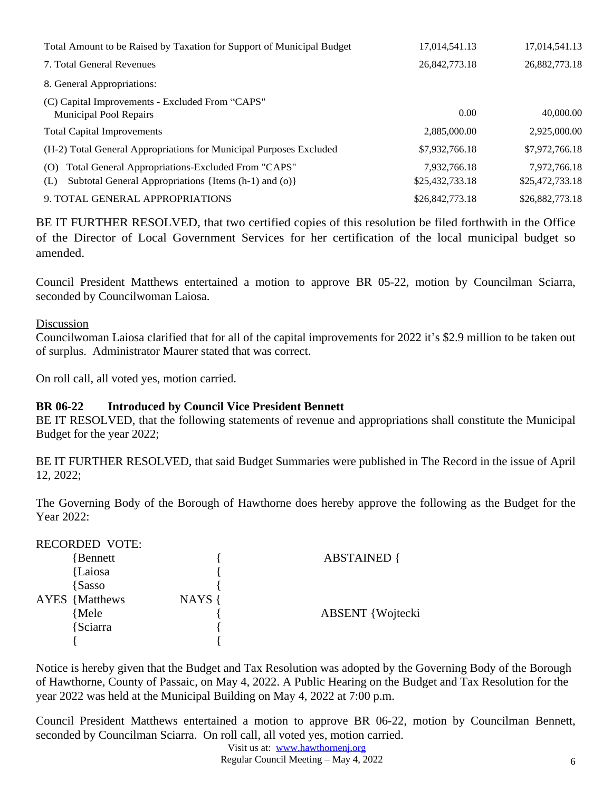| Total Amount to be Raised by Taxation for Support of Municipal Budget                                                    | 17,014,541.13                   | 17,014,541.13                   |
|--------------------------------------------------------------------------------------------------------------------------|---------------------------------|---------------------------------|
| 7. Total General Revenues                                                                                                | 26,842,773.18                   | 26,882,773.18                   |
| 8. General Appropriations:                                                                                               |                                 |                                 |
| (C) Capital Improvements - Excluded From "CAPS"<br><b>Municipal Pool Repairs</b>                                         | 0.00                            | 40,000.00                       |
| <b>Total Capital Improvements</b>                                                                                        | 2,885,000.00                    | 2,925,000.00                    |
| (H-2) Total General Appropriations for Municipal Purposes Excluded                                                       | \$7,932,766.18                  | \$7,972,766.18                  |
| Total General Appropriations-Excluded From "CAPS"<br>(O)<br>Subtotal General Appropriations {Items (h-1) and (o)}<br>(L) | 7,932,766.18<br>\$25,432,733.18 | 7,972,766.18<br>\$25,472,733.18 |
| 9. TOTAL GENERAL APPROPRIATIONS                                                                                          | \$26,842,773.18                 | \$26,882,773.18                 |

BE IT FURTHER RESOLVED, that two certified copies of this resolution be filed forthwith in the Office of the Director of Local Government Services for her certification of the local municipal budget so amended.

Council President Matthews entertained a motion to approve BR 05-22, motion by Councilman Sciarra, seconded by Councilwoman Laiosa.

#### Discussion

Councilwoman Laiosa clarified that for all of the capital improvements for 2022 it's \$2.9 million to be taken out of surplus. Administrator Maurer stated that was correct.

On roll call, all voted yes, motion carried.

### **BR 06-22 Introduced by Council Vice President Bennett**

BE IT RESOLVED, that the following statements of revenue and appropriations shall constitute the Municipal Budget for the year 2022;

BE IT FURTHER RESOLVED, that said Budget Summaries were published in The Record in the issue of April 12, 2022;

The Governing Body of the Borough of Hawthorne does hereby approve the following as the Budget for the Year 2022:

## RECORDED VOTE:

| Bennett               |        | <b>ABSTAINED</b> {      |
|-----------------------|--------|-------------------------|
| {Laiosa               |        |                         |
| <i>Sasso</i>          |        |                         |
| <b>AYES</b> {Matthews | NAYS { |                         |
| {Mele                 |        | <b>ABSENT</b> {Wojtecki |
| Sciarra               |        |                         |
|                       |        |                         |

Notice is hereby given that the Budget and Tax Resolution was adopted by the Governing Body of the Borough of Hawthorne, County of Passaic, on May 4, 2022. A Public Hearing on the Budget and Tax Resolution for the year 2022 was held at the Municipal Building on May 4, 2022 at 7:00 p.m.

Council President Matthews entertained a motion to approve BR 06-22, motion by Councilman Bennett, seconded by Councilman Sciarra. On roll call, all voted yes, motion carried.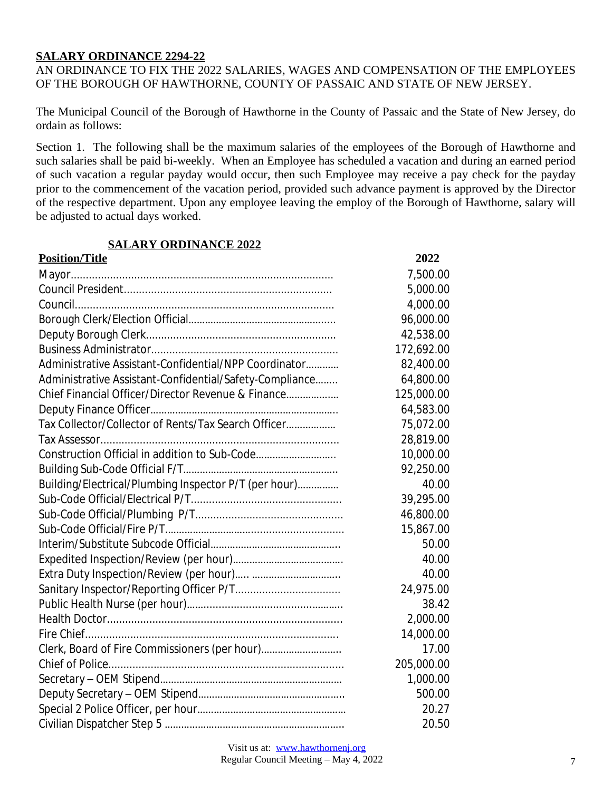#### **SALARY ORDINANCE 2294-22**

AN ORDINANCE TO FIX THE 2022 SALARIES, WAGES AND COMPENSATION OF THE EMPLOYEES OF THE BOROUGH OF HAWTHORNE, COUNTY OF PASSAIC AND STATE OF NEW JERSEY.

The Municipal Council of the Borough of Hawthorne in the County of Passaic and the State of New Jersey, do ordain as follows:

Section 1. The following shall be the maximum salaries of the employees of the Borough of Hawthorne and such salaries shall be paid bi-weekly. When an Employee has scheduled a vacation and during an earned period of such vacation a regular payday would occur, then such Employee may receive a pay check for the payday prior to the commencement of the vacation period, provided such advance payment is approved by the Director of the respective department. Upon any employee leaving the employ of the Borough of Hawthorne, salary will be adjusted to actual days worked.

### **SALARY ORDINANCE 2022**

| <b>Position/Title</b>                                   | 2022       |
|---------------------------------------------------------|------------|
|                                                         | 7,500.00   |
|                                                         | 5,000.00   |
|                                                         | 4,000.00   |
|                                                         | 96,000.00  |
|                                                         | 42,538.00  |
|                                                         | 172,692.00 |
| Administrative Assistant-Confidential/NPP Coordinator   | 82,400.00  |
| Administrative Assistant-Confidential/Safety-Compliance | 64,800.00  |
| Chief Financial Officer/Director Revenue & Finance      | 125,000.00 |
|                                                         | 64,583.00  |
| Tax Collector/Collector of Rents/Tax Search Officer     | 75,072.00  |
|                                                         | 28,819.00  |
| Construction Official in addition to Sub-Code           | 10,000.00  |
|                                                         | 92,250.00  |
| Building/Electrical/Plumbing Inspector P/T (per hour)   | 40.00      |
|                                                         | 39,295.00  |
|                                                         | 46,800.00  |
|                                                         | 15,867.00  |
|                                                         | 50.00      |
|                                                         | 40.00      |
|                                                         | 40.00      |
|                                                         | 24,975.00  |
|                                                         | 38.42      |
|                                                         | 2,000.00   |
|                                                         | 14,000.00  |
| Clerk, Board of Fire Commissioners (per hour)           | 17.00      |
|                                                         | 205,000.00 |
|                                                         | 1,000.00   |
|                                                         | 500.00     |
|                                                         | 20.27      |
|                                                         | 20.50      |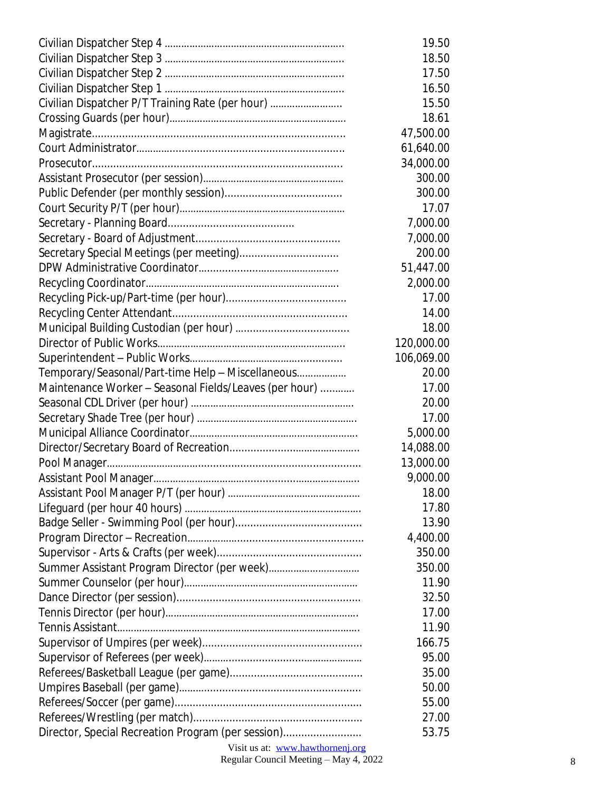|                                                        | 19.50      |
|--------------------------------------------------------|------------|
|                                                        | 18.50      |
|                                                        | 17.50      |
|                                                        | 16.50      |
| Civilian Dispatcher P/T Training Rate (per hour)       | 15.50      |
|                                                        | 18.61      |
|                                                        | 47,500.00  |
|                                                        | 61,640.00  |
|                                                        | 34,000.00  |
|                                                        | 300.00     |
|                                                        | 300.00     |
|                                                        | 17.07      |
|                                                        | 7,000.00   |
|                                                        | 7,000.00   |
| Secretary Special Meetings (per meeting)               | 200.00     |
|                                                        | 51,447.00  |
|                                                        | 2,000.00   |
|                                                        | 17.00      |
|                                                        | 14.00      |
|                                                        | 18.00      |
|                                                        | 120,000.00 |
|                                                        | 106,069.00 |
| Temporary/Seasonal/Part-time Help - Miscellaneous      | 20.00      |
| Maintenance Worker - Seasonal Fields/Leaves (per hour) | 17.00      |
|                                                        | 20.00      |
|                                                        | 17.00      |
|                                                        | 5,000.00   |
|                                                        | 14,088.00  |
|                                                        | 13,000.00  |
|                                                        | 9,000.00   |
|                                                        | 18.00      |
|                                                        | 17.80      |
|                                                        | 13.90      |
|                                                        | 4,400.00   |
|                                                        | 350.00     |
|                                                        | 350.00     |
|                                                        | 11.90      |
|                                                        | 32.50      |
|                                                        | 17.00      |
|                                                        | 11.90      |
|                                                        | 166.75     |
|                                                        | 95.00      |
|                                                        | 35.00      |
|                                                        | 50.00      |
|                                                        | 55.00      |
|                                                        | 27.00      |
| Director, Special Recreation Program (per session)     | 53.75      |

Visit us at: [www.hawthornenj.org](http://www.hawthornenj.org)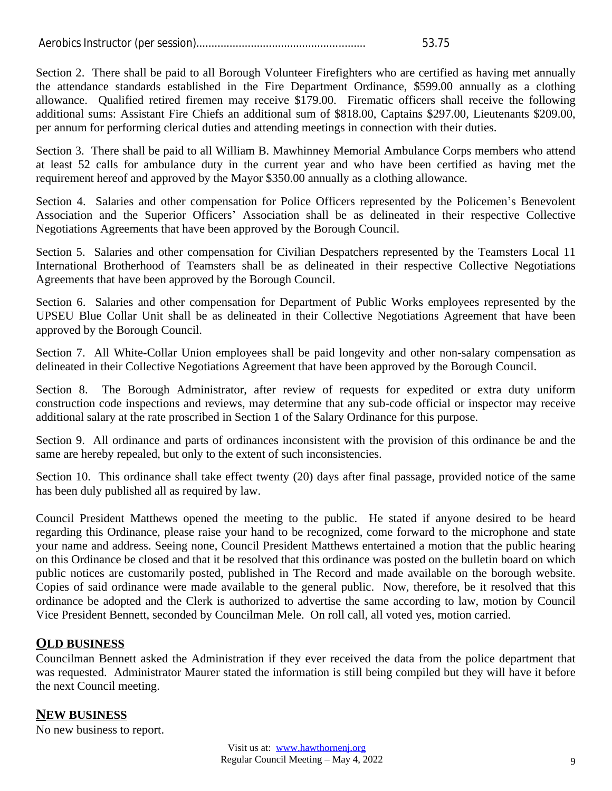|  | 53.75 |
|--|-------|
|  |       |

Section 2. There shall be paid to all Borough Volunteer Firefighters who are certified as having met annually the attendance standards established in the Fire Department Ordinance, \$599.00 annually as a clothing allowance. Qualified retired firemen may receive \$179.00. Firematic officers shall receive the following additional sums: Assistant Fire Chiefs an additional sum of \$818.00, Captains \$297.00, Lieutenants \$209.00, per annum for performing clerical duties and attending meetings in connection with their duties.

Section 3. There shall be paid to all William B. Mawhinney Memorial Ambulance Corps members who attend at least 52 calls for ambulance duty in the current year and who have been certified as having met the requirement hereof and approved by the Mayor \$350.00 annually as a clothing allowance.

Section 4. Salaries and other compensation for Police Officers represented by the Policemen's Benevolent Association and the Superior Officers' Association shall be as delineated in their respective Collective Negotiations Agreements that have been approved by the Borough Council.

Section 5. Salaries and other compensation for Civilian Despatchers represented by the Teamsters Local 11 International Brotherhood of Teamsters shall be as delineated in their respective Collective Negotiations Agreements that have been approved by the Borough Council.

Section 6. Salaries and other compensation for Department of Public Works employees represented by the UPSEU Blue Collar Unit shall be as delineated in their Collective Negotiations Agreement that have been approved by the Borough Council.

Section 7. All White-Collar Union employees shall be paid longevity and other non-salary compensation as delineated in their Collective Negotiations Agreement that have been approved by the Borough Council.

Section 8. The Borough Administrator, after review of requests for expedited or extra duty uniform construction code inspections and reviews, may determine that any sub-code official or inspector may receive additional salary at the rate proscribed in Section 1 of the Salary Ordinance for this purpose.

Section 9. All ordinance and parts of ordinances inconsistent with the provision of this ordinance be and the same are hereby repealed, but only to the extent of such inconsistencies.

Section 10. This ordinance shall take effect twenty (20) days after final passage, provided notice of the same has been duly published all as required by law.

Council President Matthews opened the meeting to the public. He stated if anyone desired to be heard regarding this Ordinance, please raise your hand to be recognized, come forward to the microphone and state your name and address. Seeing none, Council President Matthews entertained a motion that the public hearing on this Ordinance be closed and that it be resolved that this ordinance was posted on the bulletin board on which public notices are customarily posted, published in The Record and made available on the borough website. Copies of said ordinance were made available to the general public. Now, therefore, be it resolved that this ordinance be adopted and the Clerk is authorized to advertise the same according to law, motion by Council Vice President Bennett, seconded by Councilman Mele. On roll call, all voted yes, motion carried.

## **OLD BUSINESS**

Councilman Bennett asked the Administration if they ever received the data from the police department that was requested. Administrator Maurer stated the information is still being compiled but they will have it before the next Council meeting.

# **NEW BUSINESS**

No new business to report.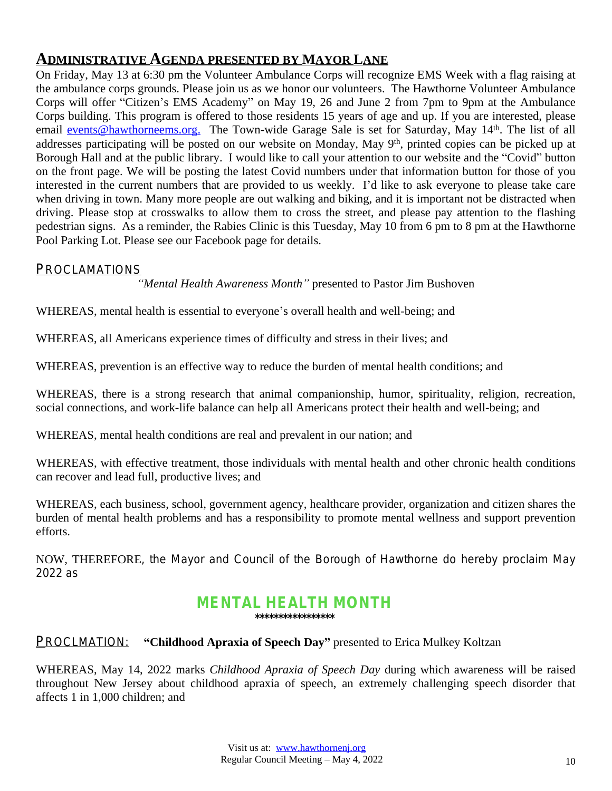# **ADMINISTRATIVE AGENDA PRESENTED BY MAYOR LANE**

On Friday, May 13 at 6:30 pm the Volunteer Ambulance Corps will recognize EMS Week with a flag raising at the ambulance corps grounds. Please join us as we honor our volunteers. The Hawthorne Volunteer Ambulance Corps will offer "Citizen's EMS Academy" on May 19, 26 and June 2 from 7pm to 9pm at the Ambulance Corps building. This program is offered to those residents 15 years of age and up. If you are interested, please email [events@hawthorneems.org.](mailto:events@hawthorneems.org) The Town-wide Garage Sale is set for Saturday, May 14<sup>th</sup>. The list of all addresses participating will be posted on our website on Monday, May 9<sup>th</sup>, printed copies can be picked up at Borough Hall and at the public library. I would like to call your attention to our website and the "Covid" button on the front page. We will be posting the latest Covid numbers under that information button for those of you interested in the current numbers that are provided to us weekly. I'd like to ask everyone to please take care when driving in town. Many more people are out walking and biking, and it is important not be distracted when driving. Please stop at crosswalks to allow them to cross the street, and please pay attention to the flashing pedestrian signs. As a reminder, the Rabies Clinic is this Tuesday, May 10 from 6 pm to 8 pm at the Hawthorne Pool Parking Lot. Please see our Facebook page for details.

### *PROCLAMATIONS*

*"Mental Health Awareness Month"* presented to Pastor Jim Bushoven

WHEREAS, mental health is essential to everyone's overall health and well-being; and

WHEREAS, all Americans experience times of difficulty and stress in their lives; and

WHEREAS, prevention is an effective way to reduce the burden of mental health conditions; and

WHEREAS, there is a strong research that animal companionship, humor, spirituality, religion, recreation, social connections, and work-life balance can help all Americans protect their health and well-being; and

WHEREAS, mental health conditions are real and prevalent in our nation; and

WHEREAS, with effective treatment, those individuals with mental health and other chronic health conditions can recover and lead full, productive lives; and

WHEREAS, each business, school, government agency, healthcare provider, organization and citizen shares the burden of mental health problems and has a responsibility to promote mental wellness and support prevention efforts.

NOW, THEREFORE, the Mayor and Council of the Borough of Hawthorne do hereby proclaim May 2022 as

#### **MENTAL HEALTH MONTH \*\*\*\*\*\*\*\*\*\*\*\*\*\*\*\*\***

## PROCLMATION: **"Childhood Apraxia of Speech Day"** presented to Erica Mulkey Koltzan

WHEREAS, May 14, 2022 marks *Childhood Apraxia of Speech Day* during which awareness will be raised throughout New Jersey about childhood apraxia of speech, an extremely challenging speech disorder that affects 1 in 1,000 children; and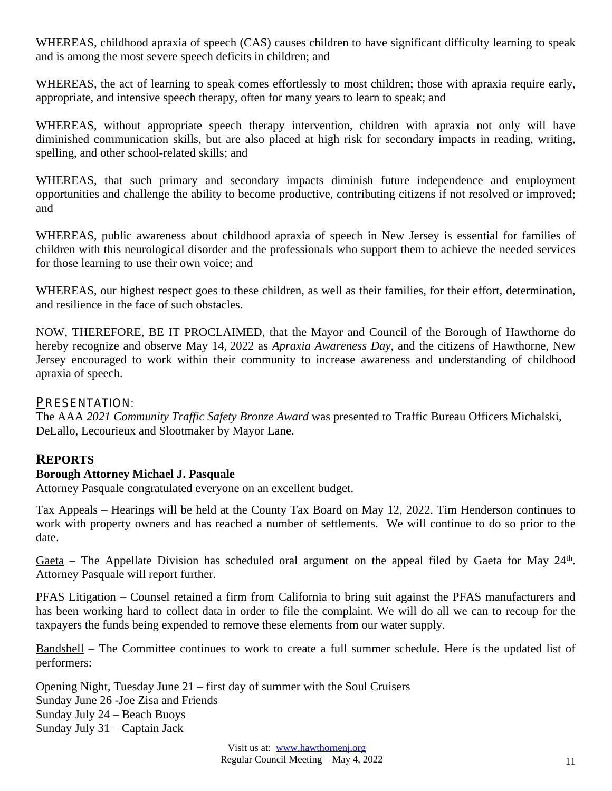WHEREAS, childhood apraxia of speech (CAS) causes children to have significant difficulty learning to speak and is among the most severe speech deficits in children; and

WHEREAS, the act of learning to speak comes effortlessly to most children; those with apraxia require early, appropriate, and intensive speech therapy, often for many years to learn to speak; and

WHEREAS, without appropriate speech therapy intervention, children with apraxia not only will have diminished communication skills, but are also placed at high risk for secondary impacts in reading, writing, spelling, and other school-related skills; and

WHEREAS, that such primary and secondary impacts diminish future independence and employment opportunities and challenge the ability to become productive, contributing citizens if not resolved or improved; and

WHEREAS, public awareness about childhood apraxia of speech in New Jersey is essential for families of children with this neurological disorder and the professionals who support them to achieve the needed services for those learning to use their own voice; and

WHEREAS, our highest respect goes to these children, as well as their families, for their effort, determination, and resilience in the face of such obstacles.

NOW, THEREFORE, BE IT PROCLAIMED, that the Mayor and Council of the Borough of Hawthorne do hereby recognize and observe May 14, 2022 as *Apraxia Awareness Day*, and the citizens of Hawthorne, New Jersey encouraged to work within their community to increase awareness and understanding of childhood apraxia of speech.

### PRESENTATION:

The AAA *2021 Community Traffic Safety Bronze Award* was presented to Traffic Bureau Officers Michalski, DeLallo, Lecourieux and Slootmaker by Mayor Lane.

# **REPORTS**

### **Borough Attorney Michael J. Pasquale**

Attorney Pasquale congratulated everyone on an excellent budget.

Tax Appeals – Hearings will be held at the County Tax Board on May 12, 2022. Tim Henderson continues to work with property owners and has reached a number of settlements. We will continue to do so prior to the date.

Gaeta – The Appellate Division has scheduled oral argument on the appeal filed by Gaeta for May 24<sup>th</sup>. Attorney Pasquale will report further.

PFAS Litigation – Counsel retained a firm from California to bring suit against the PFAS manufacturers and has been working hard to collect data in order to file the complaint. We will do all we can to recoup for the taxpayers the funds being expended to remove these elements from our water supply.

Bandshell – The Committee continues to work to create a full summer schedule. Here is the updated list of performers:

Opening Night, Tuesday June 21 – first day of summer with the Soul Cruisers Sunday June 26 -Joe Zisa and Friends Sunday July 24 – Beach Buoys Sunday July 31 – Captain Jack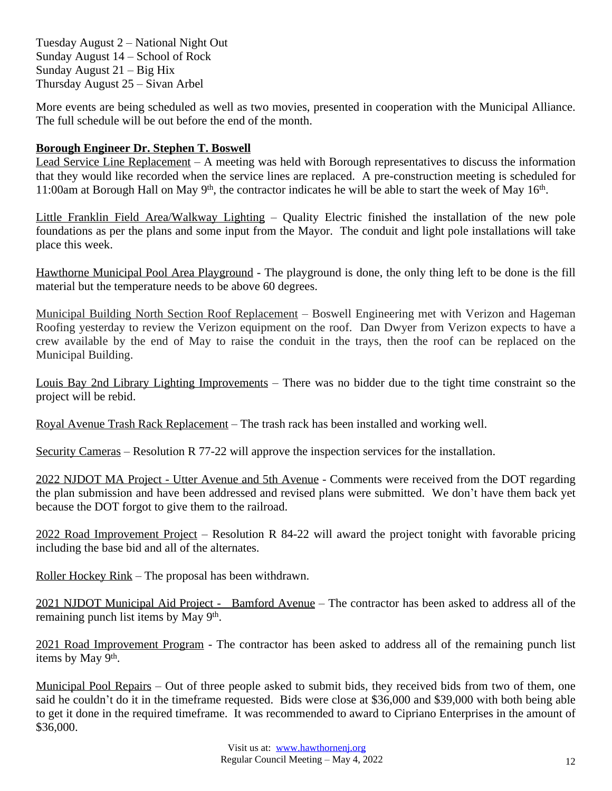Tuesday August 2 – National Night Out Sunday August 14 – School of Rock Sunday August 21 – Big Hix Thursday August 25 – Sivan Arbel

More events are being scheduled as well as two movies, presented in cooperation with the Municipal Alliance. The full schedule will be out before the end of the month.

## **Borough Engineer Dr. Stephen T. Boswell**

Lead Service Line Replacement – A meeting was held with Borough representatives to discuss the information that they would like recorded when the service lines are replaced. A pre-construction meeting is scheduled for 11:00am at Borough Hall on May 9<sup>th</sup>, the contractor indicates he will be able to start the week of May 16<sup>th</sup>.

Little Franklin Field Area/Walkway Lighting – Quality Electric finished the installation of the new pole foundations as per the plans and some input from the Mayor. The conduit and light pole installations will take place this week.

Hawthorne Municipal Pool Area Playground - The playground is done, the only thing left to be done is the fill material but the temperature needs to be above 60 degrees.

Municipal Building North Section Roof Replacement – Boswell Engineering met with Verizon and Hageman Roofing yesterday to review the Verizon equipment on the roof. Dan Dwyer from Verizon expects to have a crew available by the end of May to raise the conduit in the trays, then the roof can be replaced on the Municipal Building.

Louis Bay 2nd Library Lighting Improvements – There was no bidder due to the tight time constraint so the project will be rebid.

Royal Avenue Trash Rack Replacement – The trash rack has been installed and working well.

Security Cameras – Resolution R 77-22 will approve the inspection services for the installation.

2022 NJDOT MA Project - Utter Avenue and 5th Avenue - Comments were received from the DOT regarding the plan submission and have been addressed and revised plans were submitted. We don't have them back yet because the DOT forgot to give them to the railroad.

2022 Road Improvement Project – Resolution R 84-22 will award the project tonight with favorable pricing including the base bid and all of the alternates.

Roller Hockey Rink – The proposal has been withdrawn.

2021 NJDOT Municipal Aid Project - Bamford Avenue – The contractor has been asked to address all of the remaining punch list items by May 9<sup>th</sup>.

2021 Road Improvement Program - The contractor has been asked to address all of the remaining punch list items by May 9<sup>th</sup>.

Municipal Pool Repairs – Out of three people asked to submit bids, they received bids from two of them, one said he couldn't do it in the timeframe requested. Bids were close at \$36,000 and \$39,000 with both being able to get it done in the required timeframe. It was recommended to award to Cipriano Enterprises in the amount of \$36,000.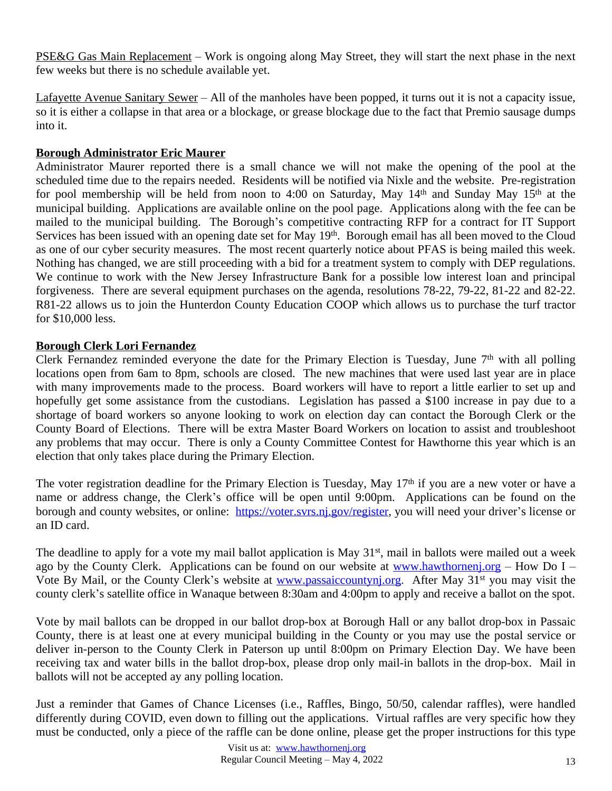PSE&G Gas Main Replacement – Work is ongoing along May Street, they will start the next phase in the next few weeks but there is no schedule available yet.

Lafayette Avenue Sanitary Sewer – All of the manholes have been popped, it turns out it is not a capacity issue, so it is either a collapse in that area or a blockage, or grease blockage due to the fact that Premio sausage dumps into it.

## **Borough Administrator Eric Maurer**

Administrator Maurer reported there is a small chance we will not make the opening of the pool at the scheduled time due to the repairs needed. Residents will be notified via Nixle and the website. Pre-registration for pool membership will be held from noon to 4:00 on Saturday, May 14<sup>th</sup> and Sunday May 15<sup>th</sup> at the municipal building. Applications are available online on the pool page. Applications along with the fee can be mailed to the municipal building. The Borough's competitive contracting RFP for a contract for IT Support Services has been issued with an opening date set for May 19<sup>th</sup>. Borough email has all been moved to the Cloud as one of our cyber security measures. The most recent quarterly notice about PFAS is being mailed this week. Nothing has changed, we are still proceeding with a bid for a treatment system to comply with DEP regulations. We continue to work with the New Jersey Infrastructure Bank for a possible low interest loan and principal forgiveness. There are several equipment purchases on the agenda, resolutions 78-22, 79-22, 81-22 and 82-22. R81-22 allows us to join the Hunterdon County Education COOP which allows us to purchase the turf tractor for \$10,000 less.

## **Borough Clerk Lori Fernandez**

Clerk Fernandez reminded everyone the date for the Primary Election is Tuesday, June  $7<sup>th</sup>$  with all polling locations open from 6am to 8pm, schools are closed. The new machines that were used last year are in place with many improvements made to the process. Board workers will have to report a little earlier to set up and hopefully get some assistance from the custodians. Legislation has passed a \$100 increase in pay due to a shortage of board workers so anyone looking to work on election day can contact the Borough Clerk or the County Board of Elections. There will be extra Master Board Workers on location to assist and troubleshoot any problems that may occur. There is only a County Committee Contest for Hawthorne this year which is an election that only takes place during the Primary Election.

The voter registration deadline for the Primary Election is Tuesday, May 17<sup>th</sup> if you are a new voter or have a name or address change, the Clerk's office will be open until 9:00pm. Applications can be found on the borough and county websites, or online: [https://voter.svrs.nj.gov/register,](https://voter.svrs.nj.gov/register) you will need your driver's license or an ID card.

The deadline to apply for a vote my mail ballot application is May 31<sup>st</sup>, mail in ballots were mailed out a week ago by the County Clerk. Applications can be found on our website at [www.hawthornenj.org](http://www.hawthornenj.org) – How Do I – Vote By Mail, or the County Clerk's website at www.passaiccountyni.org. After May 31<sup>st</sup> you may visit the county clerk's satellite office in Wanaque between 8:30am and 4:00pm to apply and receive a ballot on the spot.

Vote by mail ballots can be dropped in our ballot drop-box at Borough Hall or any ballot drop-box in Passaic County, there is at least one at every municipal building in the County or you may use the postal service or deliver in-person to the County Clerk in Paterson up until 8:00pm on Primary Election Day. We have been receiving tax and water bills in the ballot drop-box, please drop only mail-in ballots in the drop-box. Mail in ballots will not be accepted ay any polling location.

Just a reminder that Games of Chance Licenses (i.e., Raffles, Bingo, 50/50, calendar raffles), were handled differently during COVID, even down to filling out the applications. Virtual raffles are very specific how they must be conducted, only a piece of the raffle can be done online, please get the proper instructions for this type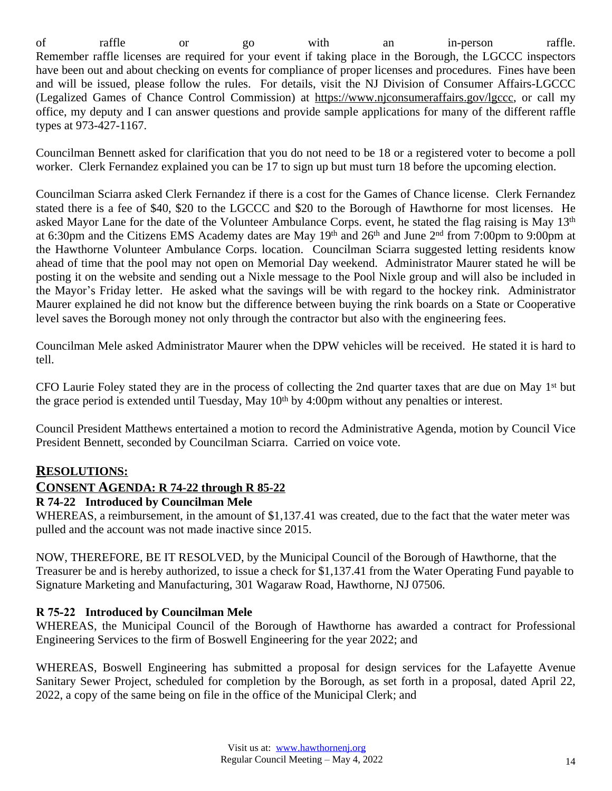of raffle or go with an in-person raffle. Remember raffle licenses are required for your event if taking place in the Borough, the LGCCC inspectors have been out and about checking on events for compliance of proper licenses and procedures. Fines have been and will be issued, please follow the rules. For details, visit the NJ Division of Consumer Affairs-LGCCC (Legalized Games of Chance Control Commission) at [https://www.njconsumeraffairs.gov/lgccc,](https://www.njconsumeraffairs.gov/lgccc) or call my office, my deputy and I can answer questions and provide sample applications for many of the different raffle types at 973-427-1167.

Councilman Bennett asked for clarification that you do not need to be 18 or a registered voter to become a poll worker. Clerk Fernandez explained you can be 17 to sign up but must turn 18 before the upcoming election.

Councilman Sciarra asked Clerk Fernandez if there is a cost for the Games of Chance license. Clerk Fernandez stated there is a fee of \$40, \$20 to the LGCCC and \$20 to the Borough of Hawthorne for most licenses. He asked Mayor Lane for the date of the Volunteer Ambulance Corps. event, he stated the flag raising is May 13<sup>th</sup> at 6:30pm and the Citizens EMS Academy dates are May 19<sup>th</sup> and 26<sup>th</sup> and June 2<sup>nd</sup> from 7:00pm to 9:00pm at the Hawthorne Volunteer Ambulance Corps. location. Councilman Sciarra suggested letting residents know ahead of time that the pool may not open on Memorial Day weekend. Administrator Maurer stated he will be posting it on the website and sending out a Nixle message to the Pool Nixle group and will also be included in the Mayor's Friday letter. He asked what the savings will be with regard to the hockey rink. Administrator Maurer explained he did not know but the difference between buying the rink boards on a State or Cooperative level saves the Borough money not only through the contractor but also with the engineering fees.

Councilman Mele asked Administrator Maurer when the DPW vehicles will be received. He stated it is hard to tell.

CFO Laurie Foley stated they are in the process of collecting the 2nd quarter taxes that are due on May 1<sup>st</sup> but the grace period is extended until Tuesday, May 10<sup>th</sup> by 4:00pm without any penalties or interest.

Council President Matthews entertained a motion to record the Administrative Agenda, motion by Council Vice President Bennett, seconded by Councilman Sciarra. Carried on voice vote.

# **RESOLUTIONS:**

## **CONSENT AGENDA: R 74-22 through R 85-22**

## **R 74-22 Introduced by Councilman Mele**

WHEREAS, a reimbursement, in the amount of \$1,137.41 was created, due to the fact that the water meter was pulled and the account was not made inactive since 2015.

NOW, THEREFORE, BE IT RESOLVED, by the Municipal Council of the Borough of Hawthorne, that the Treasurer be and is hereby authorized, to issue a check for \$1,137.41 from the Water Operating Fund payable to Signature Marketing and Manufacturing, 301 Wagaraw Road, Hawthorne, NJ 07506.

## **R 75-22 Introduced by Councilman Mele**

WHEREAS, the Municipal Council of the Borough of Hawthorne has awarded a contract for Professional Engineering Services to the firm of Boswell Engineering for the year 2022; and

WHEREAS, Boswell Engineering has submitted a proposal for design services for the Lafayette Avenue Sanitary Sewer Project, scheduled for completion by the Borough, as set forth in a proposal, dated April 22, 2022, a copy of the same being on file in the office of the Municipal Clerk; and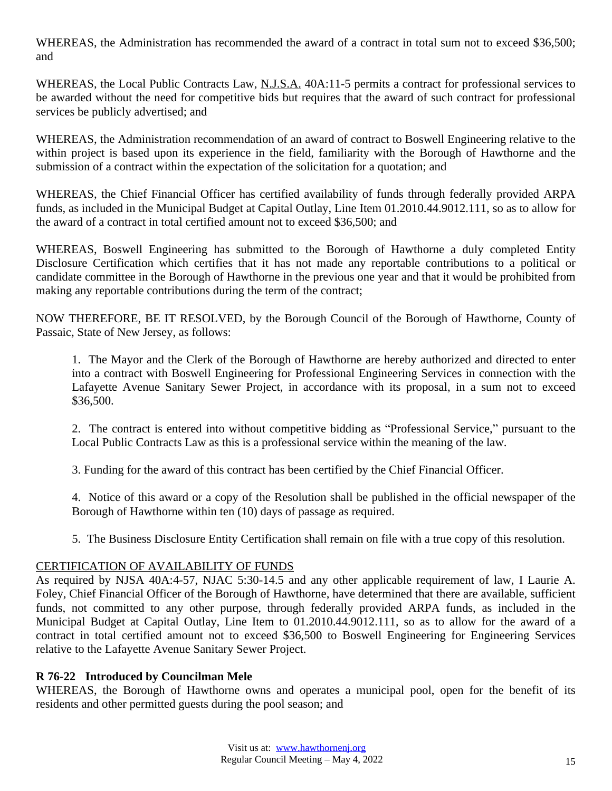WHEREAS, the Administration has recommended the award of a contract in total sum not to exceed \$36,500; and

WHEREAS, the Local Public Contracts Law, N.J.S.A. 40A:11-5 permits a contract for professional services to be awarded without the need for competitive bids but requires that the award of such contract for professional services be publicly advertised; and

WHEREAS, the Administration recommendation of an award of contract to Boswell Engineering relative to the within project is based upon its experience in the field, familiarity with the Borough of Hawthorne and the submission of a contract within the expectation of the solicitation for a quotation; and

WHEREAS, the Chief Financial Officer has certified availability of funds through federally provided ARPA funds, as included in the Municipal Budget at Capital Outlay, Line Item 01.2010.44.9012.111, so as to allow for the award of a contract in total certified amount not to exceed \$36,500; and

WHEREAS, Boswell Engineering has submitted to the Borough of Hawthorne a duly completed Entity Disclosure Certification which certifies that it has not made any reportable contributions to a political or candidate committee in the Borough of Hawthorne in the previous one year and that it would be prohibited from making any reportable contributions during the term of the contract;

NOW THEREFORE, BE IT RESOLVED, by the Borough Council of the Borough of Hawthorne, County of Passaic, State of New Jersey, as follows:

1. The Mayor and the Clerk of the Borough of Hawthorne are hereby authorized and directed to enter into a contract with Boswell Engineering for Professional Engineering Services in connection with the Lafayette Avenue Sanitary Sewer Project, in accordance with its proposal, in a sum not to exceed \$36,500.

2. The contract is entered into without competitive bidding as "Professional Service," pursuant to the Local Public Contracts Law as this is a professional service within the meaning of the law.

3. Funding for the award of this contract has been certified by the Chief Financial Officer.

4. Notice of this award or a copy of the Resolution shall be published in the official newspaper of the Borough of Hawthorne within ten (10) days of passage as required.

5. The Business Disclosure Entity Certification shall remain on file with a true copy of this resolution.

### CERTIFICATION OF AVAILABILITY OF FUNDS

As required by NJSA 40A:4-57, NJAC 5:30-14.5 and any other applicable requirement of law, I Laurie A. Foley, Chief Financial Officer of the Borough of Hawthorne, have determined that there are available, sufficient funds, not committed to any other purpose, through federally provided ARPA funds, as included in the Municipal Budget at Capital Outlay, Line Item to 01.2010.44.9012.111, so as to allow for the award of a contract in total certified amount not to exceed \$36,500 to Boswell Engineering for Engineering Services relative to the Lafayette Avenue Sanitary Sewer Project.

## **R 76-22 Introduced by Councilman Mele**

WHEREAS, the Borough of Hawthorne owns and operates a municipal pool, open for the benefit of its residents and other permitted guests during the pool season; and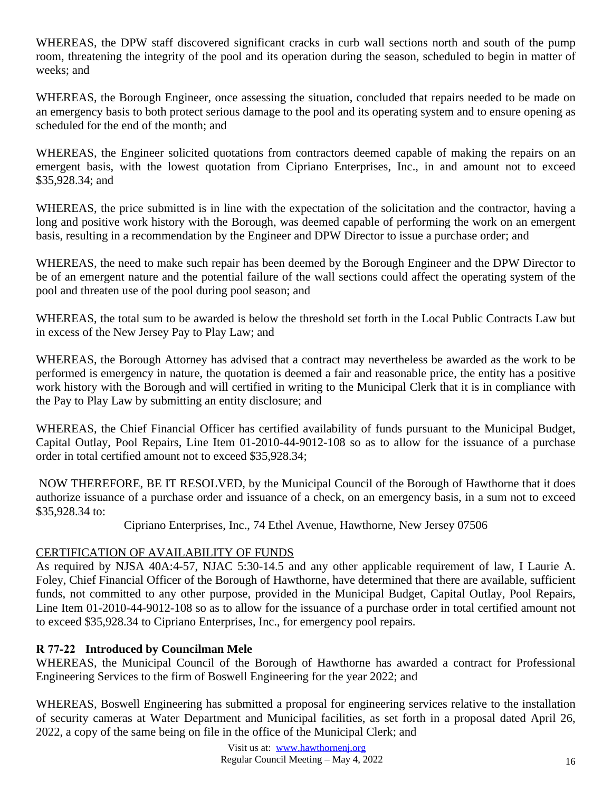WHEREAS, the DPW staff discovered significant cracks in curb wall sections north and south of the pump room, threatening the integrity of the pool and its operation during the season, scheduled to begin in matter of weeks; and

WHEREAS, the Borough Engineer, once assessing the situation, concluded that repairs needed to be made on an emergency basis to both protect serious damage to the pool and its operating system and to ensure opening as scheduled for the end of the month; and

WHEREAS, the Engineer solicited quotations from contractors deemed capable of making the repairs on an emergent basis, with the lowest quotation from Cipriano Enterprises, Inc., in and amount not to exceed \$35,928.34; and

WHEREAS, the price submitted is in line with the expectation of the solicitation and the contractor, having a long and positive work history with the Borough, was deemed capable of performing the work on an emergent basis, resulting in a recommendation by the Engineer and DPW Director to issue a purchase order; and

WHEREAS, the need to make such repair has been deemed by the Borough Engineer and the DPW Director to be of an emergent nature and the potential failure of the wall sections could affect the operating system of the pool and threaten use of the pool during pool season; and

WHEREAS, the total sum to be awarded is below the threshold set forth in the Local Public Contracts Law but in excess of the New Jersey Pay to Play Law; and

WHEREAS, the Borough Attorney has advised that a contract may nevertheless be awarded as the work to be performed is emergency in nature, the quotation is deemed a fair and reasonable price, the entity has a positive work history with the Borough and will certified in writing to the Municipal Clerk that it is in compliance with the Pay to Play Law by submitting an entity disclosure; and

WHEREAS, the Chief Financial Officer has certified availability of funds pursuant to the Municipal Budget, Capital Outlay, Pool Repairs, Line Item 01-2010-44-9012-108 so as to allow for the issuance of a purchase order in total certified amount not to exceed \$35,928.34;

NOW THEREFORE, BE IT RESOLVED, by the Municipal Council of the Borough of Hawthorne that it does authorize issuance of a purchase order and issuance of a check, on an emergency basis, in a sum not to exceed \$35,928.34 to:

Cipriano Enterprises, Inc., 74 Ethel Avenue, Hawthorne, New Jersey 07506

# CERTIFICATION OF AVAILABILITY OF FUNDS

As required by NJSA 40A:4-57, NJAC 5:30-14.5 and any other applicable requirement of law, I Laurie A. Foley, Chief Financial Officer of the Borough of Hawthorne, have determined that there are available, sufficient funds, not committed to any other purpose, provided in the Municipal Budget, Capital Outlay, Pool Repairs, Line Item 01-2010-44-9012-108 so as to allow for the issuance of a purchase order in total certified amount not to exceed \$35,928.34 to Cipriano Enterprises, Inc., for emergency pool repairs.

# **R 77-22 Introduced by Councilman Mele**

WHEREAS, the Municipal Council of the Borough of Hawthorne has awarded a contract for Professional Engineering Services to the firm of Boswell Engineering for the year 2022; and

WHEREAS, Boswell Engineering has submitted a proposal for engineering services relative to the installation of security cameras at Water Department and Municipal facilities, as set forth in a proposal dated April 26, 2022, a copy of the same being on file in the office of the Municipal Clerk; and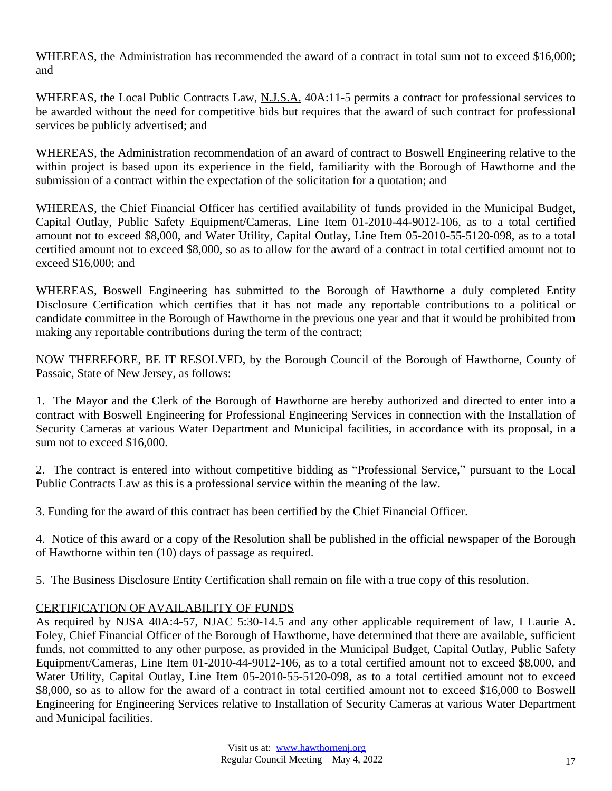WHEREAS, the Administration has recommended the award of a contract in total sum not to exceed \$16,000; and

WHEREAS, the Local Public Contracts Law, N.J.S.A. 40A:11-5 permits a contract for professional services to be awarded without the need for competitive bids but requires that the award of such contract for professional services be publicly advertised; and

WHEREAS, the Administration recommendation of an award of contract to Boswell Engineering relative to the within project is based upon its experience in the field, familiarity with the Borough of Hawthorne and the submission of a contract within the expectation of the solicitation for a quotation; and

WHEREAS, the Chief Financial Officer has certified availability of funds provided in the Municipal Budget, Capital Outlay, Public Safety Equipment/Cameras, Line Item 01-2010-44-9012-106, as to a total certified amount not to exceed \$8,000, and Water Utility, Capital Outlay, Line Item 05-2010-55-5120-098, as to a total certified amount not to exceed \$8,000, so as to allow for the award of a contract in total certified amount not to exceed \$16,000; and

WHEREAS, Boswell Engineering has submitted to the Borough of Hawthorne a duly completed Entity Disclosure Certification which certifies that it has not made any reportable contributions to a political or candidate committee in the Borough of Hawthorne in the previous one year and that it would be prohibited from making any reportable contributions during the term of the contract;

NOW THEREFORE, BE IT RESOLVED, by the Borough Council of the Borough of Hawthorne, County of Passaic, State of New Jersey, as follows:

1. The Mayor and the Clerk of the Borough of Hawthorne are hereby authorized and directed to enter into a contract with Boswell Engineering for Professional Engineering Services in connection with the Installation of Security Cameras at various Water Department and Municipal facilities, in accordance with its proposal, in a sum not to exceed \$16,000.

2. The contract is entered into without competitive bidding as "Professional Service," pursuant to the Local Public Contracts Law as this is a professional service within the meaning of the law.

3. Funding for the award of this contract has been certified by the Chief Financial Officer.

4. Notice of this award or a copy of the Resolution shall be published in the official newspaper of the Borough of Hawthorne within ten (10) days of passage as required.

5. The Business Disclosure Entity Certification shall remain on file with a true copy of this resolution.

## CERTIFICATION OF AVAILABILITY OF FUNDS

As required by NJSA 40A:4-57, NJAC 5:30-14.5 and any other applicable requirement of law, I Laurie A. Foley, Chief Financial Officer of the Borough of Hawthorne, have determined that there are available, sufficient funds, not committed to any other purpose, as provided in the Municipal Budget, Capital Outlay, Public Safety Equipment/Cameras, Line Item 01-2010-44-9012-106, as to a total certified amount not to exceed \$8,000, and Water Utility, Capital Outlay, Line Item 05-2010-55-5120-098, as to a total certified amount not to exceed \$8,000, so as to allow for the award of a contract in total certified amount not to exceed \$16,000 to Boswell Engineering for Engineering Services relative to Installation of Security Cameras at various Water Department and Municipal facilities.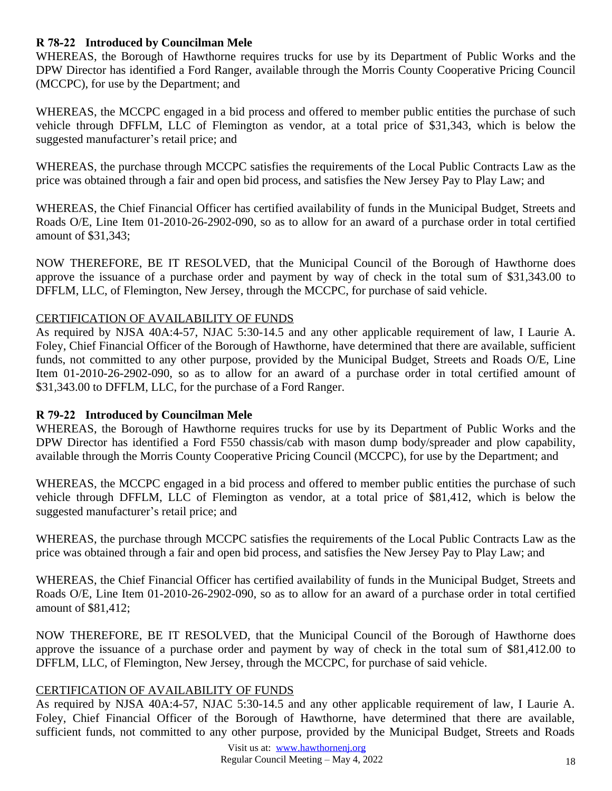### **R 78-22 Introduced by Councilman Mele**

WHEREAS, the Borough of Hawthorne requires trucks for use by its Department of Public Works and the DPW Director has identified a Ford Ranger, available through the Morris County Cooperative Pricing Council (MCCPC), for use by the Department; and

WHEREAS, the MCCPC engaged in a bid process and offered to member public entities the purchase of such vehicle through DFFLM, LLC of Flemington as vendor, at a total price of \$31,343, which is below the suggested manufacturer's retail price; and

WHEREAS, the purchase through MCCPC satisfies the requirements of the Local Public Contracts Law as the price was obtained through a fair and open bid process, and satisfies the New Jersey Pay to Play Law; and

WHEREAS, the Chief Financial Officer has certified availability of funds in the Municipal Budget, Streets and Roads O/E, Line Item 01-2010-26-2902-090, so as to allow for an award of a purchase order in total certified amount of \$31,343;

NOW THEREFORE, BE IT RESOLVED, that the Municipal Council of the Borough of Hawthorne does approve the issuance of a purchase order and payment by way of check in the total sum of \$31,343.00 to DFFLM, LLC, of Flemington, New Jersey, through the MCCPC, for purchase of said vehicle.

#### CERTIFICATION OF AVAILABILITY OF FUNDS

As required by NJSA 40A:4-57, NJAC 5:30-14.5 and any other applicable requirement of law, I Laurie A. Foley, Chief Financial Officer of the Borough of Hawthorne, have determined that there are available, sufficient funds, not committed to any other purpose, provided by the Municipal Budget, Streets and Roads O/E, Line Item 01-2010-26-2902-090, so as to allow for an award of a purchase order in total certified amount of \$31,343.00 to DFFLM, LLC, for the purchase of a Ford Ranger.

### **R 79-22 Introduced by Councilman Mele**

WHEREAS, the Borough of Hawthorne requires trucks for use by its Department of Public Works and the DPW Director has identified a Ford F550 chassis/cab with mason dump body/spreader and plow capability, available through the Morris County Cooperative Pricing Council (MCCPC), for use by the Department; and

WHEREAS, the MCCPC engaged in a bid process and offered to member public entities the purchase of such vehicle through DFFLM, LLC of Flemington as vendor, at a total price of \$81,412, which is below the suggested manufacturer's retail price; and

WHEREAS, the purchase through MCCPC satisfies the requirements of the Local Public Contracts Law as the price was obtained through a fair and open bid process, and satisfies the New Jersey Pay to Play Law; and

WHEREAS, the Chief Financial Officer has certified availability of funds in the Municipal Budget, Streets and Roads O/E, Line Item 01-2010-26-2902-090, so as to allow for an award of a purchase order in total certified amount of \$81,412;

NOW THEREFORE, BE IT RESOLVED, that the Municipal Council of the Borough of Hawthorne does approve the issuance of a purchase order and payment by way of check in the total sum of \$81,412.00 to DFFLM, LLC, of Flemington, New Jersey, through the MCCPC, for purchase of said vehicle.

#### CERTIFICATION OF AVAILABILITY OF FUNDS

As required by NJSA 40A:4-57, NJAC 5:30-14.5 and any other applicable requirement of law, I Laurie A. Foley, Chief Financial Officer of the Borough of Hawthorne, have determined that there are available, sufficient funds, not committed to any other purpose, provided by the Municipal Budget, Streets and Roads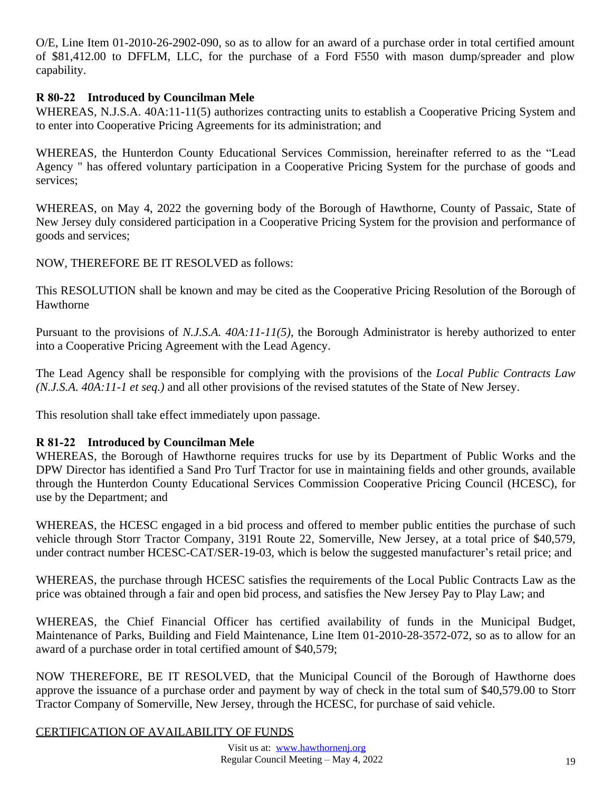O/E, Line Item 01-2010-26-2902-090, so as to allow for an award of a purchase order in total certified amount of \$81,412.00 to DFFLM, LLC, for the purchase of a Ford F550 with mason dump/spreader and plow capability.

## **R 80-22 Introduced by Councilman Mele**

WHEREAS, N.J.S.A. 40A:11-11(5) authorizes contracting units to establish a Cooperative Pricing System and to enter into Cooperative Pricing Agreements for its administration; and

WHEREAS, the Hunterdon County Educational Services Commission, hereinafter referred to as the "Lead Agency " has offered voluntary participation in a Cooperative Pricing System for the purchase of goods and services;

WHEREAS, on May 4, 2022 the governing body of the Borough of Hawthorne, County of Passaic, State of New Jersey duly considered participation in a Cooperative Pricing System for the provision and performance of goods and services;

NOW, THEREFORE BE IT RESOLVED as follows:

This RESOLUTION shall be known and may be cited as the Cooperative Pricing Resolution of the Borough of Hawthorne

Pursuant to the provisions of *N.J.S.A. 40A:11-11(5)*, the Borough Administrator is hereby authorized to enter into a Cooperative Pricing Agreement with the Lead Agency.

The Lead Agency shall be responsible for complying with the provisions of the *Local Public Contracts Law (N.J.S.A. 40A:11-1 et seq.)* and all other provisions of the revised statutes of the State of New Jersey.

This resolution shall take effect immediately upon passage.

## **R 81-22 Introduced by Councilman Mele**

WHEREAS, the Borough of Hawthorne requires trucks for use by its Department of Public Works and the DPW Director has identified a Sand Pro Turf Tractor for use in maintaining fields and other grounds, available through the Hunterdon County Educational Services Commission Cooperative Pricing Council (HCESC), for use by the Department; and

WHEREAS, the HCESC engaged in a bid process and offered to member public entities the purchase of such vehicle through Storr Tractor Company, 3191 Route 22, Somerville, New Jersey, at a total price of \$40,579, under contract number HCESC-CAT/SER-19-03, which is below the suggested manufacturer's retail price; and

WHEREAS, the purchase through HCESC satisfies the requirements of the Local Public Contracts Law as the price was obtained through a fair and open bid process, and satisfies the New Jersey Pay to Play Law; and

WHEREAS, the Chief Financial Officer has certified availability of funds in the Municipal Budget, Maintenance of Parks, Building and Field Maintenance, Line Item 01-2010-28-3572-072, so as to allow for an award of a purchase order in total certified amount of \$40,579;

NOW THEREFORE, BE IT RESOLVED, that the Municipal Council of the Borough of Hawthorne does approve the issuance of a purchase order and payment by way of check in the total sum of \$40,579.00 to Storr Tractor Company of Somerville, New Jersey, through the HCESC, for purchase of said vehicle.

### CERTIFICATION OF AVAILABILITY OF FUNDS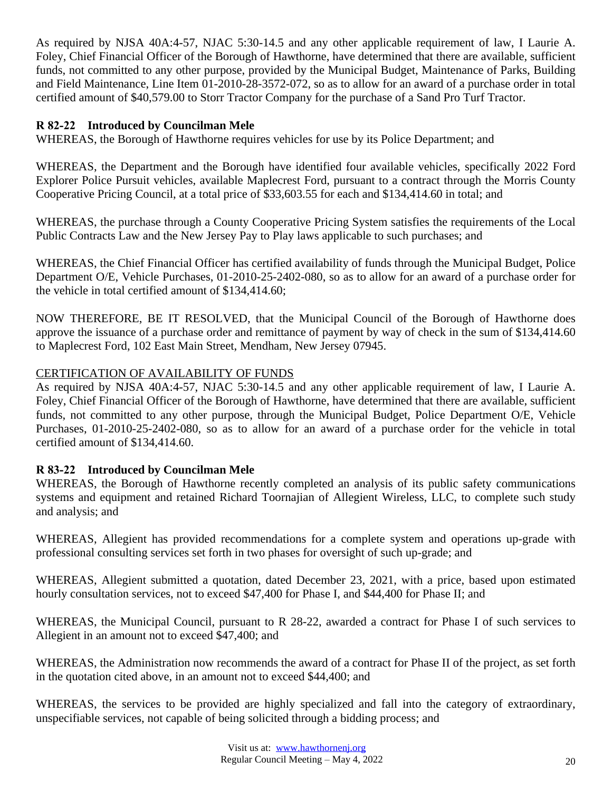As required by NJSA 40A:4-57, NJAC 5:30-14.5 and any other applicable requirement of law, I Laurie A. Foley, Chief Financial Officer of the Borough of Hawthorne, have determined that there are available, sufficient funds, not committed to any other purpose, provided by the Municipal Budget, Maintenance of Parks, Building and Field Maintenance, Line Item 01-2010-28-3572-072, so as to allow for an award of a purchase order in total certified amount of \$40,579.00 to Storr Tractor Company for the purchase of a Sand Pro Turf Tractor.

## **R 82-22 Introduced by Councilman Mele**

WHEREAS, the Borough of Hawthorne requires vehicles for use by its Police Department; and

WHEREAS, the Department and the Borough have identified four available vehicles, specifically 2022 Ford Explorer Police Pursuit vehicles, available Maplecrest Ford, pursuant to a contract through the Morris County Cooperative Pricing Council, at a total price of \$33,603.55 for each and \$134,414.60 in total; and

WHEREAS, the purchase through a County Cooperative Pricing System satisfies the requirements of the Local Public Contracts Law and the New Jersey Pay to Play laws applicable to such purchases; and

WHEREAS, the Chief Financial Officer has certified availability of funds through the Municipal Budget, Police Department O/E, Vehicle Purchases, 01-2010-25-2402-080, so as to allow for an award of a purchase order for the vehicle in total certified amount of \$134,414.60;

NOW THEREFORE, BE IT RESOLVED, that the Municipal Council of the Borough of Hawthorne does approve the issuance of a purchase order and remittance of payment by way of check in the sum of \$134,414.60 to Maplecrest Ford, 102 East Main Street, Mendham, New Jersey 07945.

## CERTIFICATION OF AVAILABILITY OF FUNDS

As required by NJSA 40A:4-57, NJAC 5:30-14.5 and any other applicable requirement of law, I Laurie A. Foley, Chief Financial Officer of the Borough of Hawthorne, have determined that there are available, sufficient funds, not committed to any other purpose, through the Municipal Budget, Police Department O/E, Vehicle Purchases, 01-2010-25-2402-080, so as to allow for an award of a purchase order for the vehicle in total certified amount of \$134,414.60.

## **R 83-22 Introduced by Councilman Mele**

WHEREAS, the Borough of Hawthorne recently completed an analysis of its public safety communications systems and equipment and retained Richard Toornajian of Allegient Wireless, LLC, to complete such study and analysis; and

WHEREAS, Allegient has provided recommendations for a complete system and operations up-grade with professional consulting services set forth in two phases for oversight of such up-grade; and

WHEREAS, Allegient submitted a quotation, dated December 23, 2021, with a price, based upon estimated hourly consultation services, not to exceed \$47,400 for Phase I, and \$44,400 for Phase II; and

WHEREAS, the Municipal Council, pursuant to R 28-22, awarded a contract for Phase I of such services to Allegient in an amount not to exceed \$47,400; and

WHEREAS, the Administration now recommends the award of a contract for Phase II of the project, as set forth in the quotation cited above, in an amount not to exceed \$44,400; and

WHEREAS, the services to be provided are highly specialized and fall into the category of extraordinary, unspecifiable services, not capable of being solicited through a bidding process; and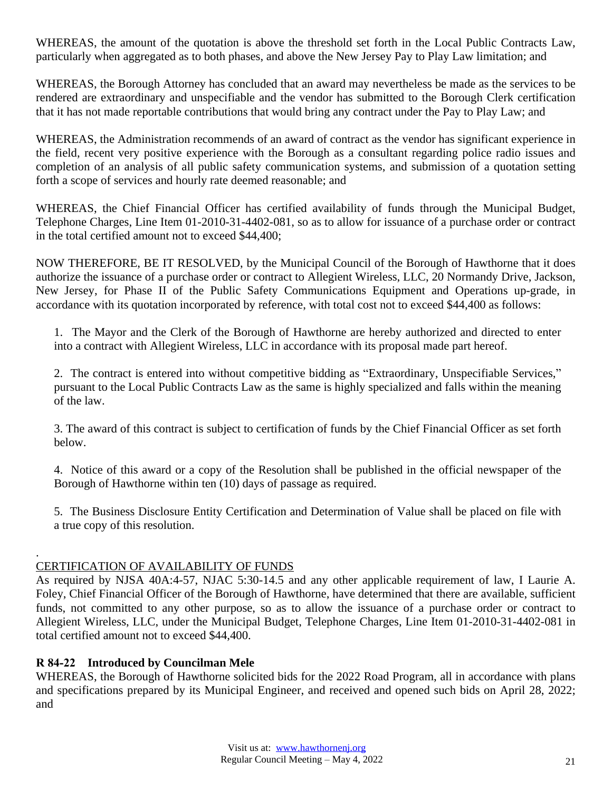WHEREAS, the amount of the quotation is above the threshold set forth in the Local Public Contracts Law, particularly when aggregated as to both phases, and above the New Jersey Pay to Play Law limitation; and

WHEREAS, the Borough Attorney has concluded that an award may nevertheless be made as the services to be rendered are extraordinary and unspecifiable and the vendor has submitted to the Borough Clerk certification that it has not made reportable contributions that would bring any contract under the Pay to Play Law; and

WHEREAS, the Administration recommends of an award of contract as the vendor has significant experience in the field, recent very positive experience with the Borough as a consultant regarding police radio issues and completion of an analysis of all public safety communication systems, and submission of a quotation setting forth a scope of services and hourly rate deemed reasonable; and

WHEREAS, the Chief Financial Officer has certified availability of funds through the Municipal Budget, Telephone Charges, Line Item 01-2010-31-4402-081, so as to allow for issuance of a purchase order or contract in the total certified amount not to exceed \$44,400;

NOW THEREFORE, BE IT RESOLVED, by the Municipal Council of the Borough of Hawthorne that it does authorize the issuance of a purchase order or contract to Allegient Wireless, LLC, 20 Normandy Drive, Jackson, New Jersey, for Phase II of the Public Safety Communications Equipment and Operations up-grade, in accordance with its quotation incorporated by reference, with total cost not to exceed \$44,400 as follows:

1. The Mayor and the Clerk of the Borough of Hawthorne are hereby authorized and directed to enter into a contract with Allegient Wireless, LLC in accordance with its proposal made part hereof.

2. The contract is entered into without competitive bidding as "Extraordinary, Unspecifiable Services," pursuant to the Local Public Contracts Law as the same is highly specialized and falls within the meaning of the law.

3. The award of this contract is subject to certification of funds by the Chief Financial Officer as set forth below.

4. Notice of this award or a copy of the Resolution shall be published in the official newspaper of the Borough of Hawthorne within ten (10) days of passage as required.

5. The Business Disclosure Entity Certification and Determination of Value shall be placed on file with a true copy of this resolution.

#### . CERTIFICATION OF AVAILABILITY OF FUNDS

As required by NJSA 40A:4-57, NJAC 5:30-14.5 and any other applicable requirement of law, I Laurie A. Foley, Chief Financial Officer of the Borough of Hawthorne, have determined that there are available, sufficient funds, not committed to any other purpose, so as to allow the issuance of a purchase order or contract to Allegient Wireless, LLC, under the Municipal Budget, Telephone Charges, Line Item 01-2010-31-4402-081 in total certified amount not to exceed \$44,400.

### **R 84-22 Introduced by Councilman Mele**

WHEREAS, the Borough of Hawthorne solicited bids for the 2022 Road Program, all in accordance with plans and specifications prepared by its Municipal Engineer, and received and opened such bids on April 28, 2022; and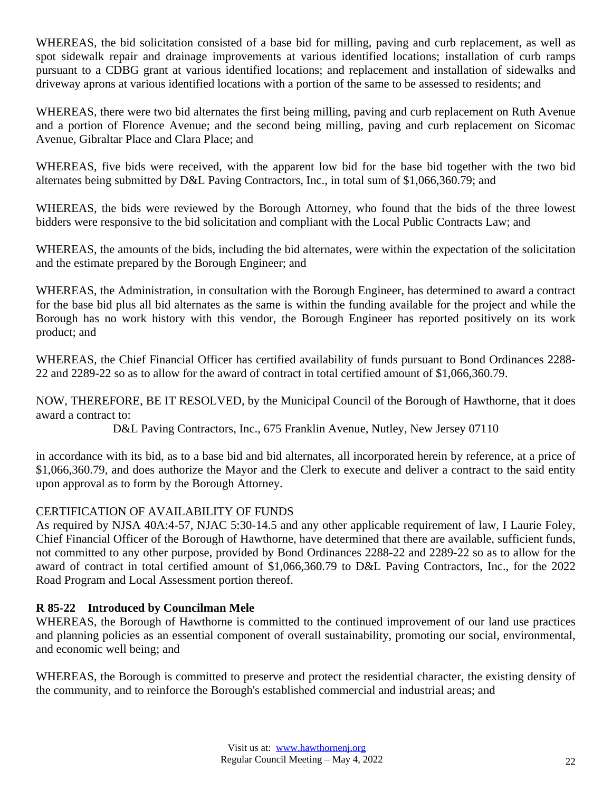WHEREAS, the bid solicitation consisted of a base bid for milling, paving and curb replacement, as well as spot sidewalk repair and drainage improvements at various identified locations; installation of curb ramps pursuant to a CDBG grant at various identified locations; and replacement and installation of sidewalks and driveway aprons at various identified locations with a portion of the same to be assessed to residents; and

WHEREAS, there were two bid alternates the first being milling, paving and curb replacement on Ruth Avenue and a portion of Florence Avenue; and the second being milling, paving and curb replacement on Sicomac Avenue, Gibraltar Place and Clara Place; and

WHEREAS, five bids were received, with the apparent low bid for the base bid together with the two bid alternates being submitted by D&L Paving Contractors, Inc., in total sum of \$1,066,360.79; and

WHEREAS, the bids were reviewed by the Borough Attorney, who found that the bids of the three lowest bidders were responsive to the bid solicitation and compliant with the Local Public Contracts Law; and

WHEREAS, the amounts of the bids, including the bid alternates, were within the expectation of the solicitation and the estimate prepared by the Borough Engineer; and

WHEREAS, the Administration, in consultation with the Borough Engineer, has determined to award a contract for the base bid plus all bid alternates as the same is within the funding available for the project and while the Borough has no work history with this vendor, the Borough Engineer has reported positively on its work product; and

WHEREAS, the Chief Financial Officer has certified availability of funds pursuant to Bond Ordinances 2288- 22 and 2289-22 so as to allow for the award of contract in total certified amount of \$1,066,360.79.

NOW, THEREFORE, BE IT RESOLVED, by the Municipal Council of the Borough of Hawthorne, that it does award a contract to:

D&L Paving Contractors, Inc., 675 Franklin Avenue, Nutley, New Jersey 07110

in accordance with its bid, as to a base bid and bid alternates, all incorporated herein by reference, at a price of \$1,066,360.79, and does authorize the Mayor and the Clerk to execute and deliver a contract to the said entity upon approval as to form by the Borough Attorney.

## CERTIFICATION OF AVAILABILITY OF FUNDS

As required by NJSA 40A:4-57, NJAC 5:30-14.5 and any other applicable requirement of law, I Laurie Foley, Chief Financial Officer of the Borough of Hawthorne, have determined that there are available, sufficient funds, not committed to any other purpose, provided by Bond Ordinances 2288-22 and 2289-22 so as to allow for the award of contract in total certified amount of \$1,066,360.79 to D&L Paving Contractors, Inc., for the 2022 Road Program and Local Assessment portion thereof.

## **R 85-22 Introduced by Councilman Mele**

WHEREAS, the Borough of Hawthorne is committed to the continued improvement of our land use practices and planning policies as an essential component of overall sustainability, promoting our social, environmental, and economic well being; and

WHEREAS, the Borough is committed to preserve and protect the residential character, the existing density of the community, and to reinforce the Borough's established commercial and industrial areas; and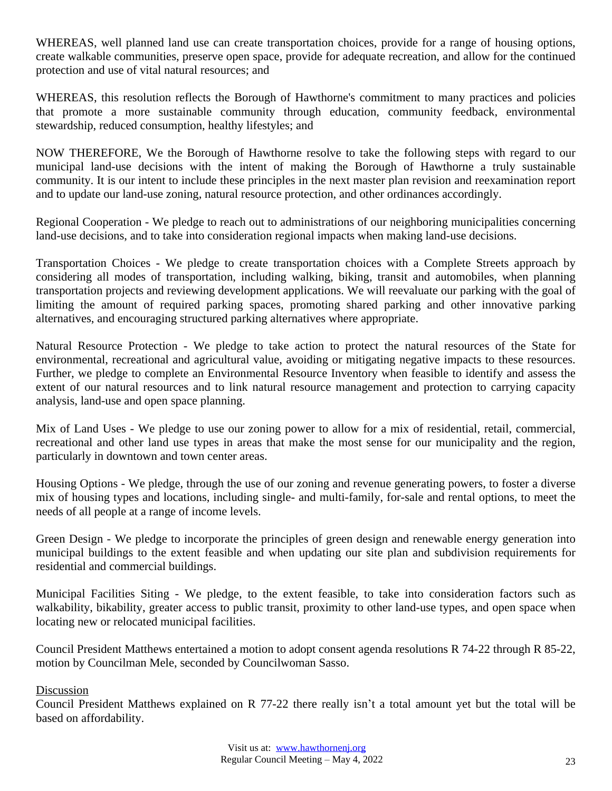WHEREAS, well planned land use can create transportation choices, provide for a range of housing options, create walkable communities, preserve open space, provide for adequate recreation, and allow for the continued protection and use of vital natural resources; and

WHEREAS, this resolution reflects the Borough of Hawthorne's commitment to many practices and policies that promote a more sustainable community through education, community feedback, environmental stewardship, reduced consumption, healthy lifestyles; and

NOW THEREFORE, We the Borough of Hawthorne resolve to take the following steps with regard to our municipal land-use decisions with the intent of making the Borough of Hawthorne a truly sustainable community. It is our intent to include these principles in the next master plan revision and reexamination report and to update our land-use zoning, natural resource protection, and other ordinances accordingly.

Regional Cooperation - We pledge to reach out to administrations of our neighboring municipalities concerning land-use decisions, and to take into consideration regional impacts when making land-use decisions.

Transportation Choices - We pledge to create transportation choices with a Complete Streets approach by considering all modes of transportation, including walking, biking, transit and automobiles, when planning transportation projects and reviewing development applications. We will reevaluate our parking with the goal of limiting the amount of required parking spaces, promoting shared parking and other innovative parking alternatives, and encouraging structured parking alternatives where appropriate.

Natural Resource Protection - We pledge to take action to protect the natural resources of the State for environmental, recreational and agricultural value, avoiding or mitigating negative impacts to these resources. Further, we pledge to complete an Environmental Resource Inventory when feasible to identify and assess the extent of our natural resources and to link natural resource management and protection to carrying capacity analysis, land-use and open space planning.

Mix of Land Uses - We pledge to use our zoning power to allow for a mix of residential, retail, commercial, recreational and other land use types in areas that make the most sense for our municipality and the region, particularly in downtown and town center areas.

Housing Options - We pledge, through the use of our zoning and revenue generating powers, to foster a diverse mix of housing types and locations, including single- and multi-family, for-sale and rental options, to meet the needs of all people at a range of income levels.

Green Design - We pledge to incorporate the principles of green design and renewable energy generation into municipal buildings to the extent feasible and when updating our site plan and subdivision requirements for residential and commercial buildings.

Municipal Facilities Siting - We pledge, to the extent feasible, to take into consideration factors such as walkability, bikability, greater access to public transit, proximity to other land-use types, and open space when locating new or relocated municipal facilities.

Council President Matthews entertained a motion to adopt consent agenda resolutions R 74-22 through R 85-22, motion by Councilman Mele, seconded by Councilwoman Sasso.

Discussion

Council President Matthews explained on R 77-22 there really isn't a total amount yet but the total will be based on affordability.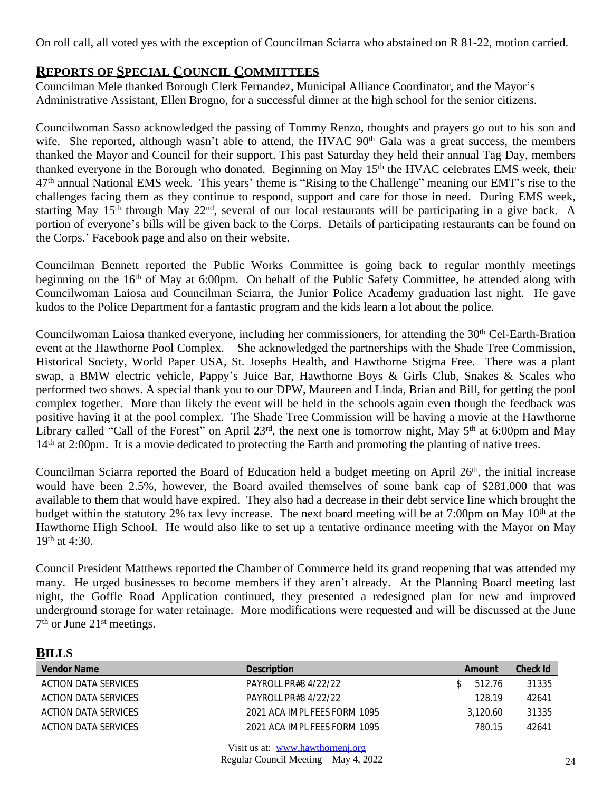On roll call, all voted yes with the exception of Councilman Sciarra who abstained on R 81-22, motion carried.

## **REPORTS OF SPECIAL COUNCIL COMMITTEES**

Councilman Mele thanked Borough Clerk Fernandez, Municipal Alliance Coordinator, and the Mayor's Administrative Assistant, Ellen Brogno, for a successful dinner at the high school for the senior citizens.

Councilwoman Sasso acknowledged the passing of Tommy Renzo, thoughts and prayers go out to his son and wife. She reported, although wasn't able to attend, the HVAC 90<sup>th</sup> Gala was a great success, the members thanked the Mayor and Council for their support. This past Saturday they held their annual Tag Day, members thanked everyone in the Borough who donated. Beginning on May 15<sup>th</sup> the HVAC celebrates EMS week, their 47th annual National EMS week. This years' theme is "Rising to the Challenge" meaning our EMT's rise to the challenges facing them as they continue to respond, support and care for those in need. During EMS week, starting May 15<sup>th</sup> through May 22<sup>nd</sup>, several of our local restaurants will be participating in a give back. A portion of everyone's bills will be given back to the Corps. Details of participating restaurants can be found on the Corps.' Facebook page and also on their website.

Councilman Bennett reported the Public Works Committee is going back to regular monthly meetings beginning on the 16<sup>th</sup> of May at 6:00pm. On behalf of the Public Safety Committee, he attended along with Councilwoman Laiosa and Councilman Sciarra, the Junior Police Academy graduation last night. He gave kudos to the Police Department for a fantastic program and the kids learn a lot about the police.

Councilwoman Laiosa thanked everyone, including her commissioners, for attending the 30<sup>th</sup> Cel-Earth-Bration event at the Hawthorne Pool Complex. She acknowledged the partnerships with the Shade Tree Commission, Historical Society, World Paper USA, St. Josephs Health, and Hawthorne Stigma Free. There was a plant swap, a BMW electric vehicle, Pappy's Juice Bar, Hawthorne Boys & Girls Club, Snakes & Scales who performed two shows. A special thank you to our DPW, Maureen and Linda, Brian and Bill, for getting the pool complex together. More than likely the event will be held in the schools again even though the feedback was positive having it at the pool complex. The Shade Tree Commission will be having a movie at the Hawthorne Library called "Call of the Forest" on April 23<sup>rd</sup>, the next one is tomorrow night, May 5<sup>th</sup> at 6:00pm and May 14<sup>th</sup> at 2:00pm. It is a movie dedicated to protecting the Earth and promoting the planting of native trees.

Councilman Sciarra reported the Board of Education held a budget meeting on April 26<sup>th</sup>, the initial increase would have been 2.5%, however, the Board availed themselves of some bank cap of \$281,000 that was available to them that would have expired. They also had a decrease in their debt service line which brought the budget within the statutory 2% tax levy increase. The next board meeting will be at 7:00pm on May 10<sup>th</sup> at the Hawthorne High School. He would also like to set up a tentative ordinance meeting with the Mayor on May 19th at 4:30.

Council President Matthews reported the Chamber of Commerce held its grand reopening that was attended my many. He urged businesses to become members if they aren't already. At the Planning Board meeting last night, the Goffle Road Application continued, they presented a redesigned plan for new and improved underground storage for water retainage. More modifications were requested and will be discussed at the June 7 th or June 21st meetings.

# **BILLS**

| <b>Vendor Name</b>   | <b>Description</b>           | Amount   | Check Id |
|----------------------|------------------------------|----------|----------|
| ACTION DATA SERVICES | PAYROLL PR#8 4/22/22         | 512.76   | 31335    |
| ACTION DATA SERVICES | PAYROLL PR#8 4/22/22         | 128.19   | 42641    |
| ACTION DATA SERVICES | 2021 ACA IMPL FEES FORM 1095 | 3.120.60 | 31335    |
| ACTION DATA SERVICES | 2021 ACA IMPL FFFS FORM 1095 | 780.15   | 42641    |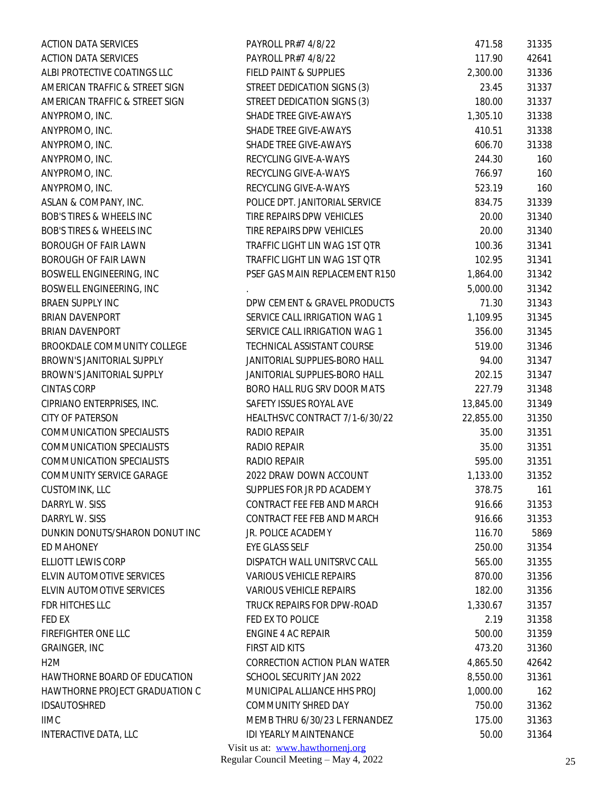| <b>ACTION DATA SERVICES</b>         | PAYROLL PR#7 4/8/22              | 471.58    | 31335 |
|-------------------------------------|----------------------------------|-----------|-------|
| <b>ACTION DATA SERVICES</b>         | PAYROLL PR#7 4/8/22              | 117.90    | 42641 |
| ALBI PROTECTIVE COATINGS LLC        | FIELD PAINT & SUPPLIES           | 2,300.00  | 31336 |
| AMERICAN TRAFFIC & STREET SIGN      | STREET DEDICATION SIGNS (3)      | 23.45     | 31337 |
| AMERICAN TRAFFIC & STREET SIGN      | STREET DEDICATION SIGNS (3)      | 180.00    | 31337 |
| ANYPROMO, INC.                      | SHADE TREE GIVE-AWAYS            | 1,305.10  | 31338 |
| ANYPROMO, INC.                      | SHADE TREE GIVE-AWAYS            | 410.51    | 31338 |
| ANYPROMO, INC.                      | SHADE TREE GIVE-AWAYS            | 606.70    | 31338 |
| ANYPROMO, INC.                      | RECYCLING GIVE-A-WAYS            | 244.30    | 160   |
| ANYPROMO, INC.                      | RECYCLING GIVE-A-WAYS            | 766.97    | 160   |
| ANYPROMO, INC.                      | RECYCLING GIVE-A-WAYS            | 523.19    | 160   |
| ASLAN & COMPANY, INC.               | POLICE DPT. JANITORIAL SERVICE   | 834.75    | 31339 |
| <b>BOB'S TIRES &amp; WHEELS INC</b> | TIRE REPAIRS DPW VEHICLES        | 20.00     | 31340 |
| BOB'S TIRES & WHEELS INC            | TIRE REPAIRS DPW VEHICLES        | 20.00     | 31340 |
| <b>BOROUGH OF FAIR LAWN</b>         | TRAFFIC LIGHT LIN WAG 1ST QTR    | 100.36    | 31341 |
| <b>BOROUGH OF FAIR LAWN</b>         | TRAFFIC LIGHT LIN WAG 1ST QTR    | 102.95    | 31341 |
| BOSWELL ENGINEERING, INC            | PSEF GAS MAIN REPLACEMENT R150   | 1,864.00  | 31342 |
| BOSWELL ENGINEERING, INC            |                                  | 5,000.00  | 31342 |
| BRAEN SUPPLY INC                    | DPW CEMENT & GRAVEL PRODUCTS     | 71.30     | 31343 |
| <b>BRIAN DAVENPORT</b>              | SERVICE CALL IRRIGATION WAG 1    | 1,109.95  | 31345 |
| <b>BRIAN DAVENPORT</b>              | SERVICE CALL IRRIGATION WAG 1    | 356.00    | 31345 |
| BROOKDALE COMMUNITY COLLEGE         | TECHNICAL ASSISTANT COURSE       | 519.00    | 31346 |
| BROWN'S JANITORIAL SUPPLY           | JANITORIAL SUPPLIES-BORO HALL    | 94.00     | 31347 |
| BROWN'S JANITORIAL SUPPLY           | JANITORIAL SUPPLIES-BORO HALL    | 202.15    | 31347 |
| <b>CINTAS CORP</b>                  | BORO HALL RUG SRV DOOR MATS      | 227.79    | 31348 |
| CIPRIANO ENTERPRISES, INC.          | SAFETY ISSUES ROYAL AVE          | 13,845.00 | 31349 |
| <b>CITY OF PATERSON</b>             | HEALTHSVC CONTRACT 7/1-6/30/22   | 22,855.00 | 31350 |
| <b>COMMUNICATION SPECIALISTS</b>    | RADIO REPAIR                     | 35.00     | 31351 |
| <b>COMMUNICATION SPECIALISTS</b>    | RADIO REPAIR                     | 35.00     | 31351 |
| <b>COMMUNICATION SPECIALISTS</b>    | RADIO REPAIR                     | 595.00    | 31351 |
| COMMUNITY SERVICE GARAGE            | 2022 DRAW DOWN ACCOUNT           | 1,133.00  | 31352 |
| CUSTOMINK, LLC                      | SUPPLIES FOR JR PD ACADEMY       | 378.75    | 161   |
| DARRYL W. SISS                      | CONTRACT FEE FEB AND MARCH       | 916.66    | 31353 |
| DARRYL W. SISS                      | CONTRACT FEE FEB AND MARCH       | 916.66    | 31353 |
| DUNKIN DONUTS/SHARON DONUT INC      | JR. POLICE ACADEMY               | 116.70    | 5869  |
| ED MAHONEY                          | EYE GLASS SELF                   | 250.00    | 31354 |
| ELLIOTT LEWIS CORP                  | DISPATCH WALL UNITSRVC CALL      | 565.00    | 31355 |
| ELVIN AUTOMOTIVE SERVICES           | <b>VARIOUS VEHICLE REPAIRS</b>   | 870.00    | 31356 |
| ELVIN AUTOMOTIVE SERVICES           | <b>VARIOUS VEHICLE REPAIRS</b>   | 182.00    | 31356 |
| FDR HITCHES LLC                     | TRUCK REPAIRS FOR DPW-ROAD       | 1,330.67  | 31357 |
| FED EX                              | FED EX TO POLICE                 | 2.19      | 31358 |
| FIREFIGHTER ONE LLC                 | <b>ENGINE 4 AC REPAIR</b>        | 500.00    | 31359 |
| GRAINGER, INC                       | FIRST AID KITS                   | 473.20    | 31360 |
| H <sub>2</sub> M                    | CORRECTION ACTION PLAN WATER     | 4,865.50  | 42642 |
| HAWTHORNE BOARD OF EDUCATION        | SCHOOL SECURITY JAN 2022         | 8,550.00  | 31361 |
| HAWTHORNE PROJECT GRADUATION C      | MUNICIPAL ALLIANCE HHS PROJ      | 1,000.00  | 162   |
| IDSAUTOSHRED                        | COMMUNITY SHRED DAY              | 750.00    | 31362 |
| <b>IIMC</b>                         | MEMB THRU 6/30/23 L FERNANDEZ    | 175.00    | 31363 |
| INTERACTIVE DATA, LLC               | IDI YEARLY MAINTENANCE           | 50.00     | 31364 |
|                                     | Visit us at: www.hawthornenj.org |           |       |
|                                     |                                  |           |       |

Regular Council Meeting – May 4, 2022 25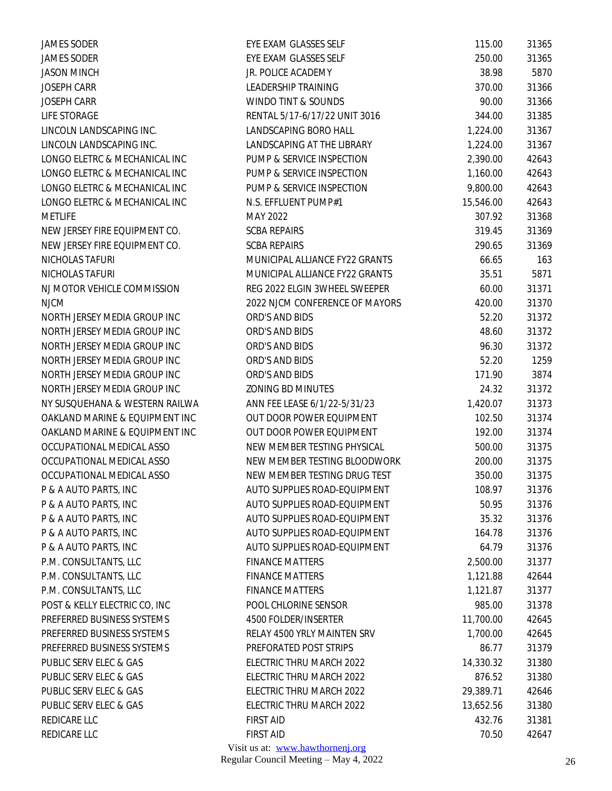| <b>JAMES SODER</b>             | EYE EXAM GLASSES SELF            | 115.00    | 31365 |
|--------------------------------|----------------------------------|-----------|-------|
| <b>JAMES SODER</b>             | EYE EXAM GLASSES SELF            | 250.00    | 31365 |
| <b>JASON MINCH</b>             | JR. POLICE ACADEMY               | 38.98     | 5870  |
| <b>JOSEPH CARR</b>             | LEADERSHIP TRAINING              | 370.00    | 31366 |
| <b>JOSEPH CARR</b>             | WINDO TINT & SOUNDS              | 90.00     | 31366 |
| LIFE STORAGE                   | RENTAL 5/17-6/17/22 UNIT 3016    | 344.00    | 31385 |
| LINCOLN LANDSCAPING INC.       | LANDSCAPING BORO HALL            | 1,224.00  | 31367 |
| LINCOLN LANDSCAPING INC.       | LANDSCAPING AT THE LIBRARY       | 1,224.00  | 31367 |
| LONGO ELETRC & MECHANICAL INC  | PUMP & SERVICE INSPECTION        | 2,390.00  | 42643 |
| LONGO ELETRC & MECHANICAL INC  | PUMP & SERVICE INSPECTION        | 1,160.00  | 42643 |
| LONGO ELETRC & MECHANICAL INC  | PUMP & SERVICE INSPECTION        | 9,800.00  | 42643 |
| LONGO ELETRC & MECHANICAL INC  | N.S. EFFLUENT PUMP#1             | 15,546.00 | 42643 |
| <b>METLIFE</b>                 | MAY 2022                         | 307.92    | 31368 |
| NEW JERSEY FIRE EQUIPMENT CO.  | <b>SCBA REPAIRS</b>              | 319.45    | 31369 |
| NEW JERSEY FIRE EQUIPMENT CO.  | <b>SCBA REPAIRS</b>              | 290.65    | 31369 |
| NICHOLAS TAFURI                | MUNICIPAL ALLIANCE FY22 GRANTS   | 66.65     | 163   |
| NICHOLAS TAFURI                | MUNICIPAL ALLIANCE FY22 GRANTS   | 35.51     | 5871  |
| NJ MOTOR VEHICLE COMMISSION    | REG 2022 ELGIN 3WHEEL SWEEPER    | 60.00     | 31371 |
| <b>NJCM</b>                    | 2022 NJCM CONFERENCE OF MAYORS   | 420.00    | 31370 |
| NORTH JERSEY MEDIA GROUP INC   | ORD'S AND BIDS                   | 52.20     | 31372 |
| NORTH JERSEY MEDIA GROUP INC   | ORD'S AND BIDS                   | 48.60     | 31372 |
| NORTH JERSEY MEDIA GROUP INC   | ORD'S AND BIDS                   | 96.30     | 31372 |
| NORTH JERSEY MEDIA GROUP INC   | ORD'S AND BIDS                   | 52.20     | 1259  |
| NORTH JERSEY MEDIA GROUP INC   | ORD'S AND BIDS                   | 171.90    | 3874  |
| NORTH JERSEY MEDIA GROUP INC   | ZONING BD MINUTES                | 24.32     | 31372 |
| NY SUSQUEHANA & WESTERN RAILWA | ANN FEE LEASE 6/1/22-5/31/23     | 1,420.07  | 31373 |
| OAKLAND MARINE & EQUIPMENT INC | OUT DOOR POWER EQUIPMENT         | 102.50    | 31374 |
| OAKLAND MARINE & EQUIPMENT INC | OUT DOOR POWER EQUIPMENT         | 192.00    | 31374 |
| OCCUPATIONAL MEDICAL ASSO      | NEW MEMBER TESTING PHYSICAL      | 500.00    | 31375 |
| OCCUPATIONAL MEDICAL ASSO      | NEW MEMBER TESTING BLOODWORK     | 200.00    | 31375 |
| OCCUPATIONAL MEDICAL ASSO      | NEW MEMBER TESTING DRUG TEST     | 350.00    | 31375 |
| P & A AUTO PARTS, INC          | AUTO SUPPLIES ROAD-EQUIPMENT     | 108.97    | 31376 |
| P & A AUTO PARTS, INC          | AUTO SUPPLIES ROAD-EQUIPMENT     | 50.95     | 31376 |
| P & A AUTO PARTS, INC          | AUTO SUPPLIES ROAD-EQUIPMENT     | 35.32     | 31376 |
| P & A AUTO PARTS, INC          | AUTO SUPPLIES ROAD-EQUIPMENT     | 164.78    | 31376 |
| P & A AUTO PARTS, INC          | AUTO SUPPLIES ROAD-EQUIPMENT     | 64.79     | 31376 |
| P.M. CONSULTANTS, LLC          | <b>FINANCE MATTERS</b>           | 2,500.00  | 31377 |
| P.M. CONSULTANTS, LLC          | <b>FINANCE MATTERS</b>           | 1,121.88  | 42644 |
| P.M. CONSULTANTS, LLC          | <b>FINANCE MATTERS</b>           | 1,121.87  | 31377 |
| POST & KELLY ELECTRIC CO, INC  | POOL CHLORINE SENSOR             | 985.00    | 31378 |
| PREFERRED BUSINESS SYSTEMS     | 4500 FOLDER/INSERTER             | 11,700.00 | 42645 |
| PREFERRED BUSINESS SYSTEMS     | RELAY 4500 YRLY MAINTEN SRV      | 1,700.00  | 42645 |
| PREFERRED BUSINESS SYSTEMS     | PREFORATED POST STRIPS           | 86.77     | 31379 |
| PUBLIC SERV ELEC & GAS         | ELECTRIC THRU MARCH 2022         | 14,330.32 | 31380 |
| PUBLIC SERV ELEC & GAS         | ELECTRIC THRU MARCH 2022         | 876.52    | 31380 |
| PUBLIC SERV ELEC & GAS         | ELECTRIC THRU MARCH 2022         | 29,389.71 | 42646 |
| PUBLIC SERV ELEC & GAS         | ELECTRIC THRU MARCH 2022         | 13,652.56 | 31380 |
| REDICARE LLC                   | <b>FIRST AID</b>                 | 432.76    | 31381 |
| REDICARE LLC                   | <b>FIRST AID</b>                 | 70.50     | 42647 |
|                                | Visit us at: www.hawthornenj.org |           |       |
|                                |                                  |           |       |

Regular Council Meeting – May 4, 2022 26